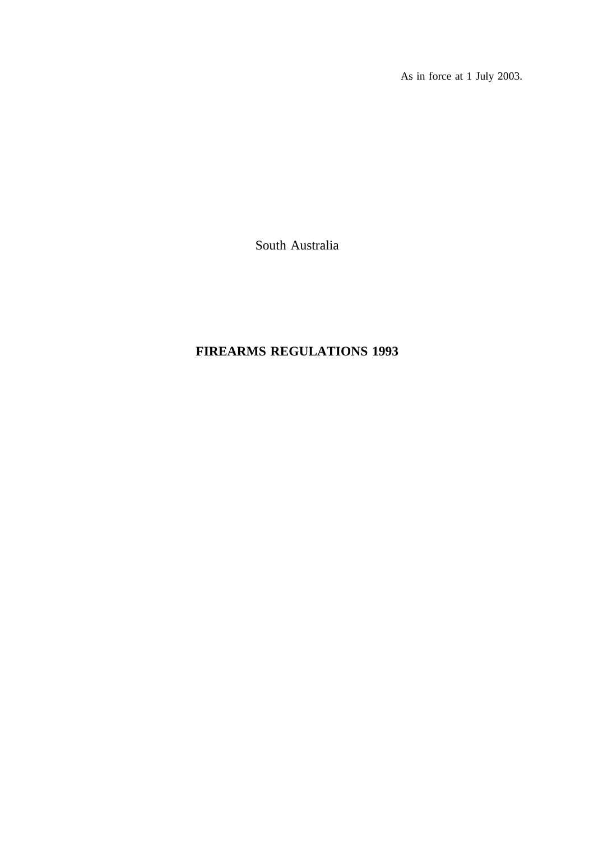As in force at 1 July 2003.

South Australia

# **FIREARMS REGULATIONS 1993**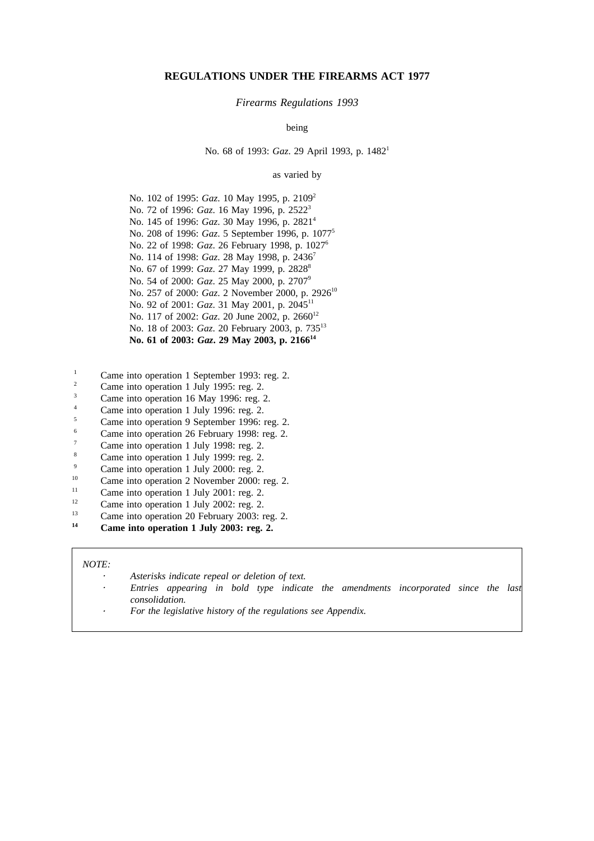### **REGULATIONS UNDER THE FIREARMS ACT 1977**

#### *Firearms Regulations 1993*

being

No. 68 of 1993: *Gaz*. 29 April 1993, p. 1482<sup>1</sup>

### as varied by

No. 102 of 1995: *Gaz*. 10 May 1995, p. 2109<sup>2</sup> No. 72 of 1996: *Gaz*. 16 May 1996, p. 25223 No. 145 of 1996: *Gaz*. 30 May 1996, p. 2821<sup>4</sup> No. 208 of 1996: *Gaz*. 5 September 1996, p. 10775 No. 22 of 1998: *Gaz*. 26 February 1998, p. 10276 No. 114 of 1998: *Gaz*. 28 May 1998, p. 2436<sup>7</sup> No. 67 of 1999: *Gaz.* 27 May 1999, p. 2828<sup>8</sup> No. 54 of 2000: *Gaz*. 25 May 2000, p. 27079 No. 257 of 2000: *Gaz*. 2 November 2000, p. 2926<sup>10</sup> No. 92 of 2001: *Gaz*. 31 May 2001, p. 204511 No. 117 of 2002: *Gaz*. 20 June 2002, p. 2660<sup>12</sup> No. 18 of 2003: *Gaz*. 20 February 2003, p. 735<sup>13</sup> No. 61 of 2003: *Gaz*, 29 May 2003, p. 2166<sup>14</sup>

- <sup>1</sup> Came into operation 1 September 1993: reg. 2.<br> $\frac{2}{\sqrt{1-\frac{1}{2}}}$
- <sup>2</sup> Came into operation 1 July 1995: reg. 2.
- $\frac{3}{4}$  Came into operation 16 May 1996: reg. 2.
- <sup>4</sup> Came into operation 1 July 1996: reg. 2.<br>
Come into operation 0 Sontember 1006:
- $5$  Came into operation 9 September 1996: reg. 2.
- Came into operation 26 February 1998: reg. 2.
- $\frac{7}{8}$  Came into operation 1 July 1998: reg. 2.
- $\frac{8}{9}$  Came into operation 1 July 1999: reg. 2.
- $\frac{9}{10}$  Came into operation 1 July 2000: reg. 2.
- <sup>10</sup> Came into operation 2 November 2000: reg. 2.
- <sup>11</sup> Came into operation 1 July 2001: reg. 2.<br>  $C_{\text{rms}}$  into approximant Lyly 2002: reg. 2.
- <sup>12</sup> Came into operation 1 July 2002: reg. 2.<br><sup>13</sup> Came into aggregation 20 February 2002.
- <sup>13</sup> Came into operation 20 February 2003: reg. 2.
- **<sup>14</sup> Came into operation 1 July 2003: reg. 2.**

#### *NOTE:*

*Asterisks indicate repeal or deletion of text.*

- *Entries appearing in bold type indicate the amendments incorporated since the last consolidation.*
	- *For the legislative history of the regulations see Appendix.*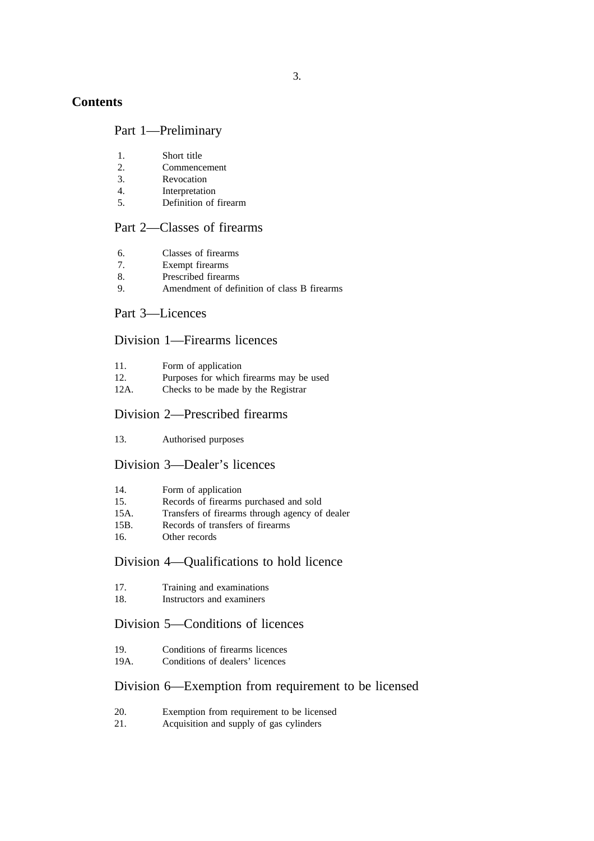## **Contents**

### Part 1—Preliminary

- 1. Short title
- 2. Commencement
- 3. Revocation
- 4. Interpretation<br>5. Definition of
- Definition of firearm

### Part 2—Classes of firearms

- 6. Classes of firearms
- 7. Exempt firearms
- 8. Prescribed firearms
- 9. Amendment of definition of class B firearms

### Part 3—Licences

### Division 1—Firearms licences

- 11. Form of application<br>12. Purposes for which
- Purposes for which firearms may be used
- 12A. Checks to be made by the Registrar

## Division 2—Prescribed firearms

13. Authorised purposes

### Division 3—Dealer's licences

|  | Form of application |
|--|---------------------|

- 15. Records of firearms purchased and sold
- 15A. Transfers of firearms through agency of dealer
- 15B. Records of transfers of firearms
- 16. Other records

## Division 4—Qualifications to hold licence

- 17. Training and examinations<br>18 **Instructors** and examiners
- Instructors and examiners

## Division 5—Conditions of licences

- 19. Conditions of firearms licences 19A. Conditions of dealers' licences
- 

## Division 6—Exemption from requirement to be licensed

- 20. Exemption from requirement to be licensed
- 21. Acquisition and supply of gas cylinders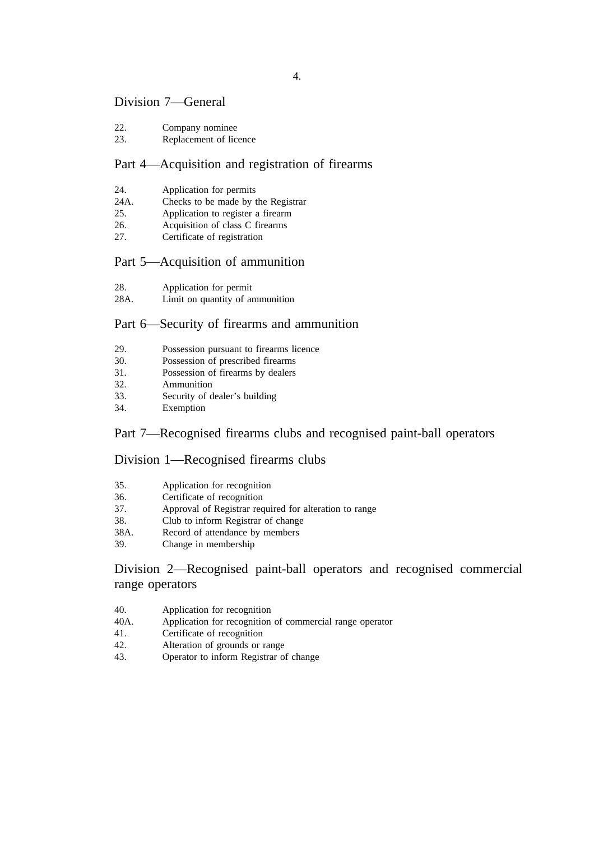### Division 7—General

- 22. Company nominee
- 23. Replacement of licence

## Part 4—Acquisition and registration of firearms

- 24. Application for permits
- 24A. Checks to be made by the Registrar
- 25. Application to register a firearm
- 26. Acquisition of class C firearms
- 27. Certificate of registration

## Part 5—Acquisition of ammunition

- 28. Application for permit
- 28A. Limit on quantity of ammunition

## Part 6—Security of firearms and ammunition

- 29. Possession pursuant to firearms licence
- 30. Possession of prescribed firearms
- 31. Possession of firearms by dealers
- 32. Ammunition
- 33. Security of dealer's building
- 34. Exemption

## Part 7—Recognised firearms clubs and recognised paint-ball operators

### Division 1—Recognised firearms clubs

| 35.<br>Application for recognition |  |
|------------------------------------|--|
|------------------------------------|--|

- 36. Certificate of recognition<br>37. Approval of Registrar rec
- Approval of Registrar required for alteration to range
- 38. Club to inform Registrar of change
- 38A. Record of attendance by members
- 39. Change in membership

## Division 2—Recognised paint-ball operators and recognised commercial range operators

- 40. Application for recognition
- 40A. Application for recognition of commercial range operator
- 41. Certificate of recognition
- 42. Alteration of grounds or range
- 43. Operator to inform Registrar of change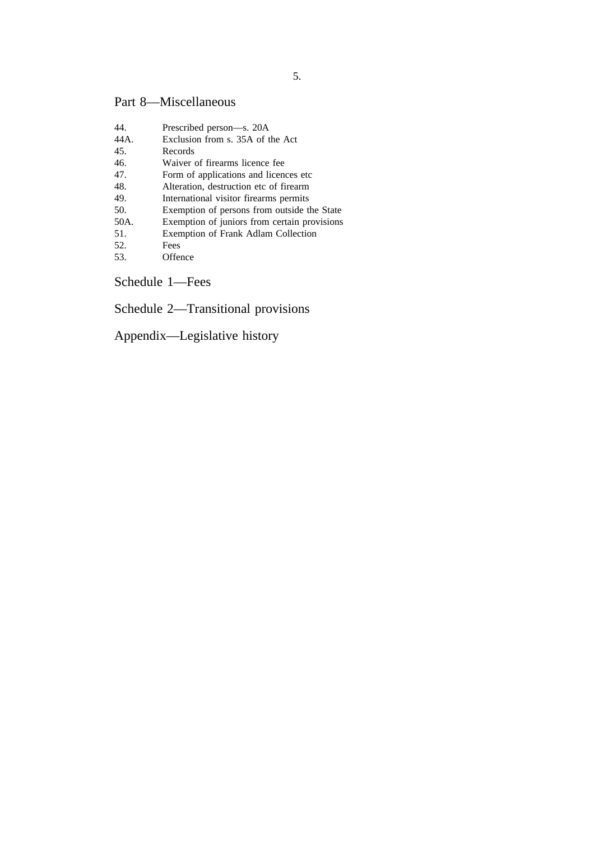# Part 8—Miscellaneous

| Prescribed person—s. 20A                     |
|----------------------------------------------|
| Exclusion from s. 35A of the Act             |
| Records                                      |
| Waiver of firearms licence fee               |
| Form of applications and licences etc.       |
| Alteration, destruction etc of firearm       |
| International visitor firearms permits       |
| Exemption of persons from outside the State  |
| Exemption of juniors from certain provisions |
| Exemption of Frank Adlam Collection          |
| Fees                                         |
| Offence                                      |
|                                              |

Schedule 1—Fees

Schedule 2—Transitional provisions

Appendix—Legislative history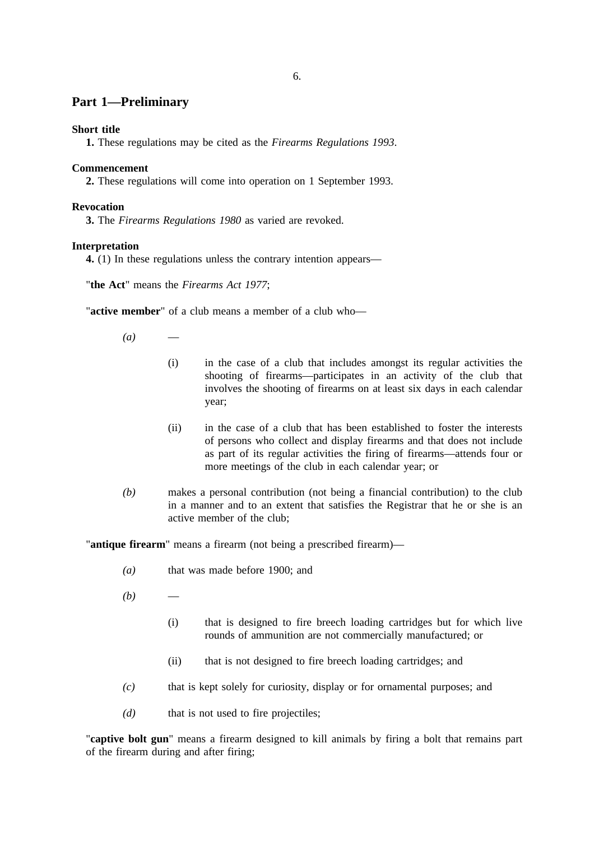### **Part 1—Preliminary**

### **Short title**

**1.** These regulations may be cited as the *Firearms Regulations 1993*.

### **Commencement**

**2.** These regulations will come into operation on 1 September 1993.

### **Revocation**

**3.** The *Firearms Regulations 1980* as varied are revoked.

### **Interpretation**

**4.** (1) In these regulations unless the contrary intention appears—

"**the Act**" means the *Firearms Act 1977*;

"**active member**" of a club means a member of a club who—

 $(a)$ 

- (i) in the case of a club that includes amongst its regular activities the shooting of firearms—participates in an activity of the club that involves the shooting of firearms on at least six days in each calendar year;
- (ii) in the case of a club that has been established to foster the interests of persons who collect and display firearms and that does not include as part of its regular activities the firing of firearms—attends four or more meetings of the club in each calendar year; or
- *(b)* makes a personal contribution (not being a financial contribution) to the club in a manner and to an extent that satisfies the Registrar that he or she is an active member of the club;

"**antique firearm**" means a firearm (not being a prescribed firearm)—

- *(a)* that was made before 1900; and
- $(b)$ 
	- (i) that is designed to fire breech loading cartridges but for which live rounds of ammunition are not commercially manufactured; or
	- (ii) that is not designed to fire breech loading cartridges; and
- *(c)* that is kept solely for curiosity, display or for ornamental purposes; and
- *(d)* that is not used to fire projectiles;

"**captive bolt gun**" means a firearm designed to kill animals by firing a bolt that remains part of the firearm during and after firing;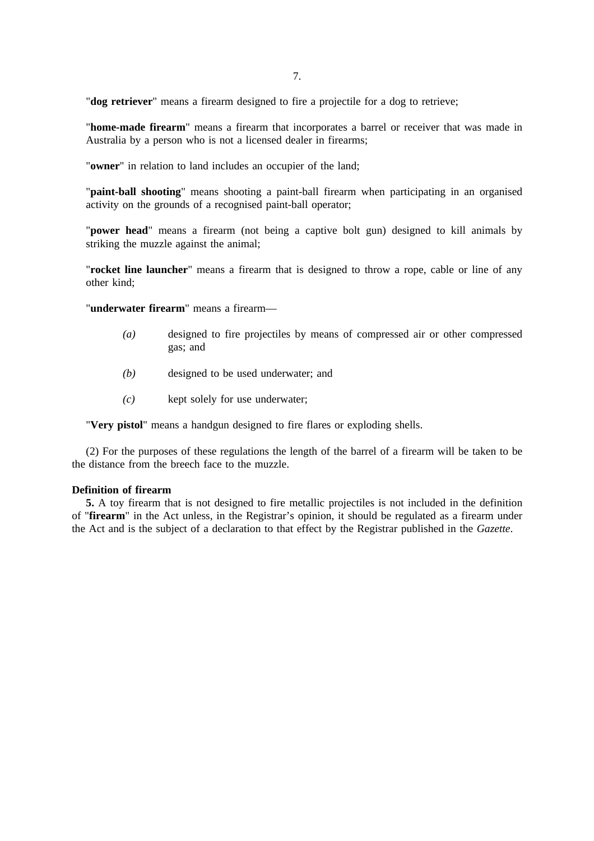"**dog retriever**" means a firearm designed to fire a projectile for a dog to retrieve;

"**home-made firearm**" means a firearm that incorporates a barrel or receiver that was made in Australia by a person who is not a licensed dealer in firearms;

"**owner**" in relation to land includes an occupier of the land;

"**paint-ball shooting**" means shooting a paint-ball firearm when participating in an organised activity on the grounds of a recognised paint-ball operator;

"**power head**" means a firearm (not being a captive bolt gun) designed to kill animals by striking the muzzle against the animal;

"**rocket line launcher**" means a firearm that is designed to throw a rope, cable or line of any other kind;

"**underwater firearm**" means a firearm—

- *(a)* designed to fire projectiles by means of compressed air or other compressed gas; and
- *(b)* designed to be used underwater; and
- *(c)* kept solely for use underwater;

"**Very pistol**" means a handgun designed to fire flares or exploding shells.

(2) For the purposes of these regulations the length of the barrel of a firearm will be taken to be the distance from the breech face to the muzzle.

### **Definition of firearm**

**5.** A toy firearm that is not designed to fire metallic projectiles is not included in the definition of "**firearm**" in the Act unless, in the Registrar's opinion, it should be regulated as a firearm under the Act and is the subject of a declaration to that effect by the Registrar published in the *Gazette*.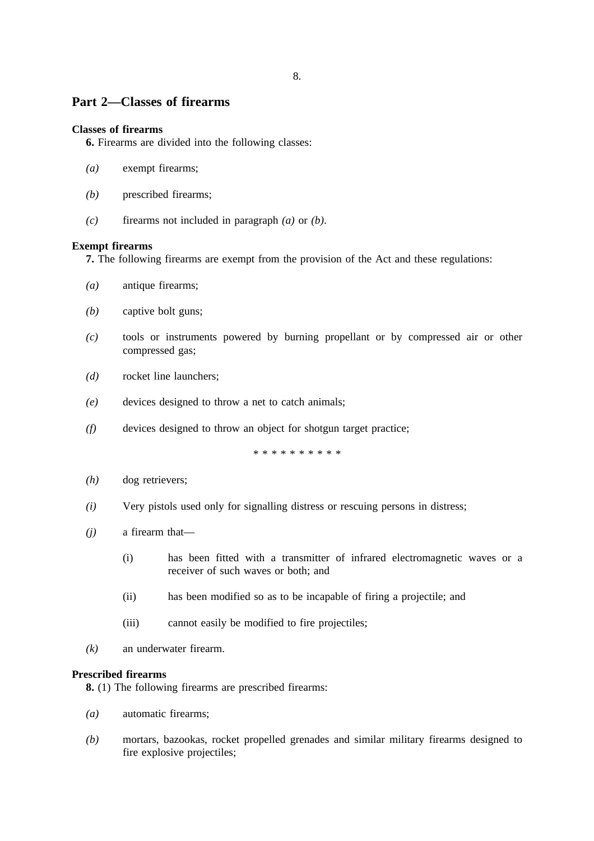## **Part 2—Classes of firearms**

### **Classes of firearms**

**6.** Firearms are divided into the following classes:

- *(a)* exempt firearms;
- *(b)* prescribed firearms;
- *(c)* firearms not included in paragraph *(a)* or *(b)*.

### **Exempt firearms**

**7.** The following firearms are exempt from the provision of the Act and these regulations:

- *(a)* antique firearms;
- *(b)* captive bolt guns;
- *(c)* tools or instruments powered by burning propellant or by compressed air or other compressed gas;
- *(d)* rocket line launchers;
- *(e)* devices designed to throw a net to catch animals;
- *(f)* devices designed to throw an object for shotgun target practice;

\*\*\*\*\*\*\*\*\*\*

- *(h)* dog retrievers;
- *(i)* Very pistols used only for signalling distress or rescuing persons in distress;
- *(j)* a firearm that—
	- (i) has been fitted with a transmitter of infrared electromagnetic waves or a receiver of such waves or both; and
	- (ii) has been modified so as to be incapable of firing a projectile; and
	- (iii) cannot easily be modified to fire projectiles;
- *(k)* an underwater firearm.

### **Prescribed firearms**

**8.** (1) The following firearms are prescribed firearms:

- *(a)* automatic firearms;
- *(b)* mortars, bazookas, rocket propelled grenades and similar military firearms designed to fire explosive projectiles;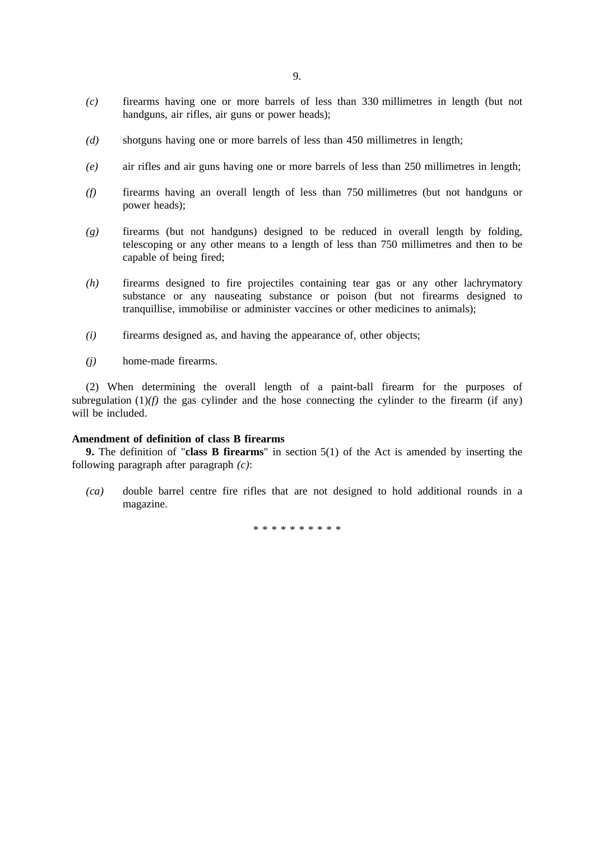- *(c)* firearms having one or more barrels of less than 330 millimetres in length (but not handguns, air rifles, air guns or power heads);
- *(d)* shotguns having one or more barrels of less than 450 millimetres in length;
- *(e)* air rifles and air guns having one or more barrels of less than 250 millimetres in length;
- *(f)* firearms having an overall length of less than 750 millimetres (but not handguns or power heads);
- *(g)* firearms (but not handguns) designed to be reduced in overall length by folding, telescoping or any other means to a length of less than 750 millimetres and then to be capable of being fired;
- *(h)* firearms designed to fire projectiles containing tear gas or any other lachrymatory substance or any nauseating substance or poison (but not firearms designed to tranquillise, immobilise or administer vaccines or other medicines to animals);
- *(i)* firearms designed as, and having the appearance of, other objects;
- *(j)* home-made firearms.

(2) When determining the overall length of a paint-ball firearm for the purposes of subregulation  $(1)$ *(f)* the gas cylinder and the hose connecting the cylinder to the firearm (if any) will be included.

### **Amendment of definition of class B firearms**

**9.** The definition of "**class B firearms**" in section 5(1) of the Act is amended by inserting the following paragraph after paragraph *(c)*:

*(ca)* double barrel centre fire rifles that are not designed to hold additional rounds in a magazine.

\*\*\*\*\*\*\*\*\*\*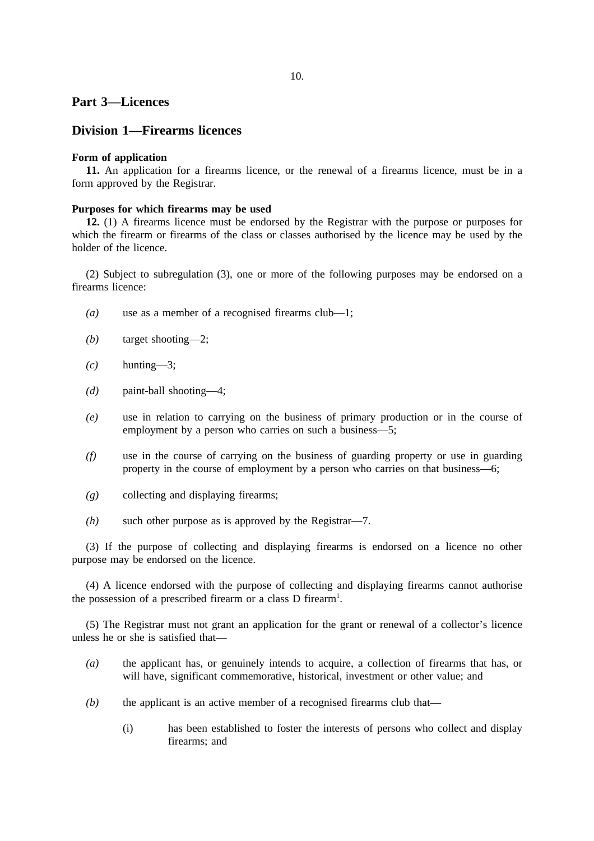### **Part 3—Licences**

### **Division 1—Firearms licences**

### **Form of application**

**11.** An application for a firearms licence, or the renewal of a firearms licence, must be in a form approved by the Registrar.

#### **Purposes for which firearms may be used**

**12.** (1) A firearms licence must be endorsed by the Registrar with the purpose or purposes for which the firearm or firearms of the class or classes authorised by the licence may be used by the holder of the licence.

(2) Subject to subregulation (3), one or more of the following purposes may be endorsed on a firearms licence:

- *(a)* use as a member of a recognised firearms club—1;
- *(b)* target shooting—2;
- $(c)$  hunting—3;
- *(d)* paint-ball shooting—4;
- *(e)* use in relation to carrying on the business of primary production or in the course of employment by a person who carries on such a business—5;
- *(f)* use in the course of carrying on the business of guarding property or use in guarding property in the course of employment by a person who carries on that business—6;
- *(g)* collecting and displaying firearms;
- *(h)* such other purpose as is approved by the Registrar—7.

(3) If the purpose of collecting and displaying firearms is endorsed on a licence no other purpose may be endorsed on the licence.

(4) A licence endorsed with the purpose of collecting and displaying firearms cannot authorise the possession of a prescribed firearm or a class  $D$  firearm<sup>1</sup>.

(5) The Registrar must not grant an application for the grant or renewal of a collector's licence unless he or she is satisfied that—

- *(a)* the applicant has, or genuinely intends to acquire, a collection of firearms that has, or will have, significant commemorative, historical, investment or other value; and
- *(b)* the applicant is an active member of a recognised firearms club that—
	- (i) has been established to foster the interests of persons who collect and display firearms; and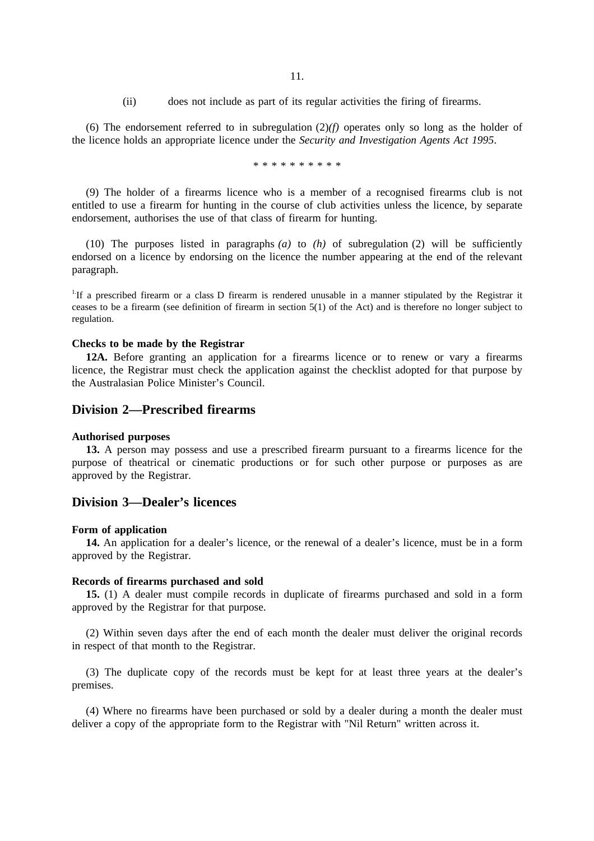(ii) does not include as part of its regular activities the firing of firearms.

(6) The endorsement referred to in subregulation (2)*(f)* operates only so long as the holder of the licence holds an appropriate licence under the *Security and Investigation Agents Act 1995*.

\*\*\*\*\*\*\*\*\*\*

(9) The holder of a firearms licence who is a member of a recognised firearms club is not entitled to use a firearm for hunting in the course of club activities unless the licence, by separate endorsement, authorises the use of that class of firearm for hunting.

(10) The purposes listed in paragraphs  $(a)$  to  $(h)$  of subregulation (2) will be sufficiently endorsed on a licence by endorsing on the licence the number appearing at the end of the relevant paragraph.

<sup>1.</sup>If a prescribed firearm or a class D firearm is rendered unusable in a manner stipulated by the Registrar it ceases to be a firearm (see definition of firearm in section 5(1) of the Act) and is therefore no longer subject to regulation.

#### **Checks to be made by the Registrar**

**12A.** Before granting an application for a firearms licence or to renew or vary a firearms licence, the Registrar must check the application against the checklist adopted for that purpose by the Australasian Police Minister's Council.

### **Division 2—Prescribed firearms**

#### **Authorised purposes**

**13.** A person may possess and use a prescribed firearm pursuant to a firearms licence for the purpose of theatrical or cinematic productions or for such other purpose or purposes as are approved by the Registrar.

### **Division 3—Dealer's licences**

#### **Form of application**

**14.** An application for a dealer's licence, or the renewal of a dealer's licence, must be in a form approved by the Registrar.

#### **Records of firearms purchased and sold**

**15.** (1) A dealer must compile records in duplicate of firearms purchased and sold in a form approved by the Registrar for that purpose.

(2) Within seven days after the end of each month the dealer must deliver the original records in respect of that month to the Registrar.

(3) The duplicate copy of the records must be kept for at least three years at the dealer's premises.

(4) Where no firearms have been purchased or sold by a dealer during a month the dealer must deliver a copy of the appropriate form to the Registrar with "Nil Return" written across it.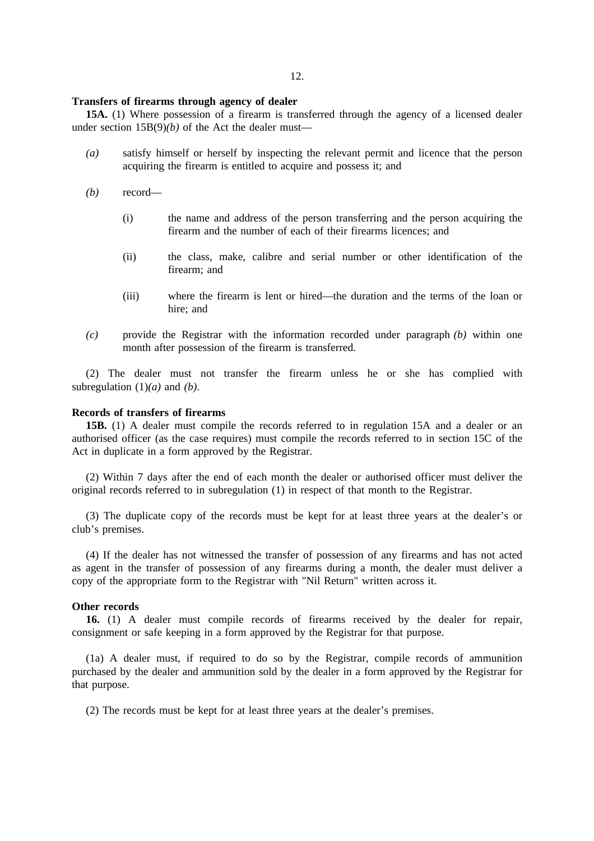#### **Transfers of firearms through agency of dealer**

**15A.** (1) Where possession of a firearm is transferred through the agency of a licensed dealer under section  $15B(9)(b)$  of the Act the dealer must—

- *(a)* satisfy himself or herself by inspecting the relevant permit and licence that the person acquiring the firearm is entitled to acquire and possess it; and
- *(b)* record—
	- (i) the name and address of the person transferring and the person acquiring the firearm and the number of each of their firearms licences; and
	- (ii) the class, make, calibre and serial number or other identification of the firearm; and
	- (iii) where the firearm is lent or hired—the duration and the terms of the loan or hire; and
- *(c)* provide the Registrar with the information recorded under paragraph *(b)* within one month after possession of the firearm is transferred.

(2) The dealer must not transfer the firearm unless he or she has complied with subregulation (1)*(a)* and *(b)*.

#### **Records of transfers of firearms**

**15B.** (1) A dealer must compile the records referred to in regulation 15A and a dealer or an authorised officer (as the case requires) must compile the records referred to in section 15C of the Act in duplicate in a form approved by the Registrar.

(2) Within 7 days after the end of each month the dealer or authorised officer must deliver the original records referred to in subregulation (1) in respect of that month to the Registrar.

(3) The duplicate copy of the records must be kept for at least three years at the dealer's or club's premises.

(4) If the dealer has not witnessed the transfer of possession of any firearms and has not acted as agent in the transfer of possession of any firearms during a month, the dealer must deliver a copy of the appropriate form to the Registrar with "Nil Return" written across it.

### **Other records**

**16.** (1) A dealer must compile records of firearms received by the dealer for repair, consignment or safe keeping in a form approved by the Registrar for that purpose.

(1a) A dealer must, if required to do so by the Registrar, compile records of ammunition purchased by the dealer and ammunition sold by the dealer in a form approved by the Registrar for that purpose.

(2) The records must be kept for at least three years at the dealer's premises.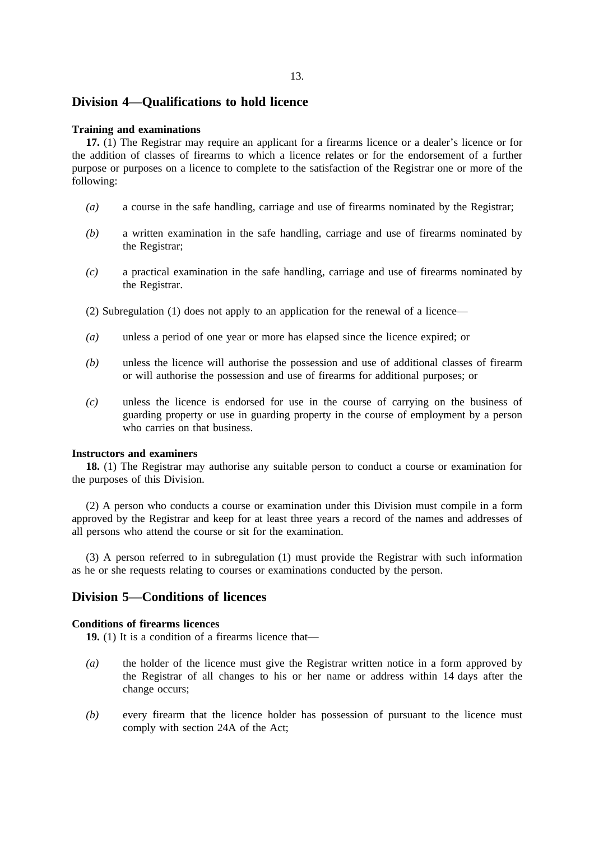### **Division 4—Qualifications to hold licence**

### **Training and examinations**

**17.** (1) The Registrar may require an applicant for a firearms licence or a dealer's licence or for the addition of classes of firearms to which a licence relates or for the endorsement of a further purpose or purposes on a licence to complete to the satisfaction of the Registrar one or more of the following:

- *(a)* a course in the safe handling, carriage and use of firearms nominated by the Registrar;
- *(b)* a written examination in the safe handling, carriage and use of firearms nominated by the Registrar;
- *(c)* a practical examination in the safe handling, carriage and use of firearms nominated by the Registrar.
- (2) Subregulation (1) does not apply to an application for the renewal of a licence—
- *(a)* unless a period of one year or more has elapsed since the licence expired; or
- *(b)* unless the licence will authorise the possession and use of additional classes of firearm or will authorise the possession and use of firearms for additional purposes; or
- *(c)* unless the licence is endorsed for use in the course of carrying on the business of guarding property or use in guarding property in the course of employment by a person who carries on that business.

#### **Instructors and examiners**

**18.** (1) The Registrar may authorise any suitable person to conduct a course or examination for the purposes of this Division.

(2) A person who conducts a course or examination under this Division must compile in a form approved by the Registrar and keep for at least three years a record of the names and addresses of all persons who attend the course or sit for the examination.

(3) A person referred to in subregulation (1) must provide the Registrar with such information as he or she requests relating to courses or examinations conducted by the person.

### **Division 5—Conditions of licences**

### **Conditions of firearms licences**

**19.** (1) It is a condition of a firearms licence that—

- *(a)* the holder of the licence must give the Registrar written notice in a form approved by the Registrar of all changes to his or her name or address within 14 days after the change occurs;
- *(b)* every firearm that the licence holder has possession of pursuant to the licence must comply with section 24A of the Act;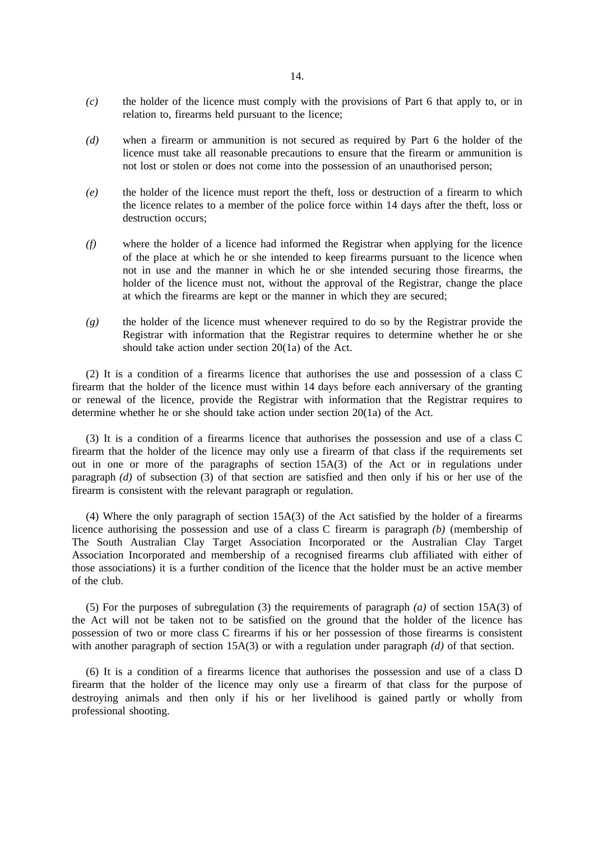- *(c)* the holder of the licence must comply with the provisions of Part 6 that apply to, or in relation to, firearms held pursuant to the licence;
- *(d)* when a firearm or ammunition is not secured as required by Part 6 the holder of the licence must take all reasonable precautions to ensure that the firearm or ammunition is not lost or stolen or does not come into the possession of an unauthorised person;
- *(e)* the holder of the licence must report the theft, loss or destruction of a firearm to which the licence relates to a member of the police force within 14 days after the theft, loss or destruction occurs;
- *(f)* where the holder of a licence had informed the Registrar when applying for the licence of the place at which he or she intended to keep firearms pursuant to the licence when not in use and the manner in which he or she intended securing those firearms, the holder of the licence must not, without the approval of the Registrar, change the place at which the firearms are kept or the manner in which they are secured;
- *(g)* the holder of the licence must whenever required to do so by the Registrar provide the Registrar with information that the Registrar requires to determine whether he or she should take action under section 20(1a) of the Act.

(2) It is a condition of a firearms licence that authorises the use and possession of a class C firearm that the holder of the licence must within 14 days before each anniversary of the granting or renewal of the licence, provide the Registrar with information that the Registrar requires to determine whether he or she should take action under section 20(1a) of the Act.

(3) It is a condition of a firearms licence that authorises the possession and use of a class C firearm that the holder of the licence may only use a firearm of that class if the requirements set out in one or more of the paragraphs of section 15A(3) of the Act or in regulations under paragraph *(d)* of subsection (3) of that section are satisfied and then only if his or her use of the firearm is consistent with the relevant paragraph or regulation.

(4) Where the only paragraph of section 15A(3) of the Act satisfied by the holder of a firearms licence authorising the possession and use of a class C firearm is paragraph *(b)* (membership of The South Australian Clay Target Association Incorporated or the Australian Clay Target Association Incorporated and membership of a recognised firearms club affiliated with either of those associations) it is a further condition of the licence that the holder must be an active member of the club.

(5) For the purposes of subregulation (3) the requirements of paragraph *(a)* of section 15A(3) of the Act will not be taken not to be satisfied on the ground that the holder of the licence has possession of two or more class C firearms if his or her possession of those firearms is consistent with another paragraph of section 15A(3) or with a regulation under paragraph *(d)* of that section.

(6) It is a condition of a firearms licence that authorises the possession and use of a class D firearm that the holder of the licence may only use a firearm of that class for the purpose of destroying animals and then only if his or her livelihood is gained partly or wholly from professional shooting.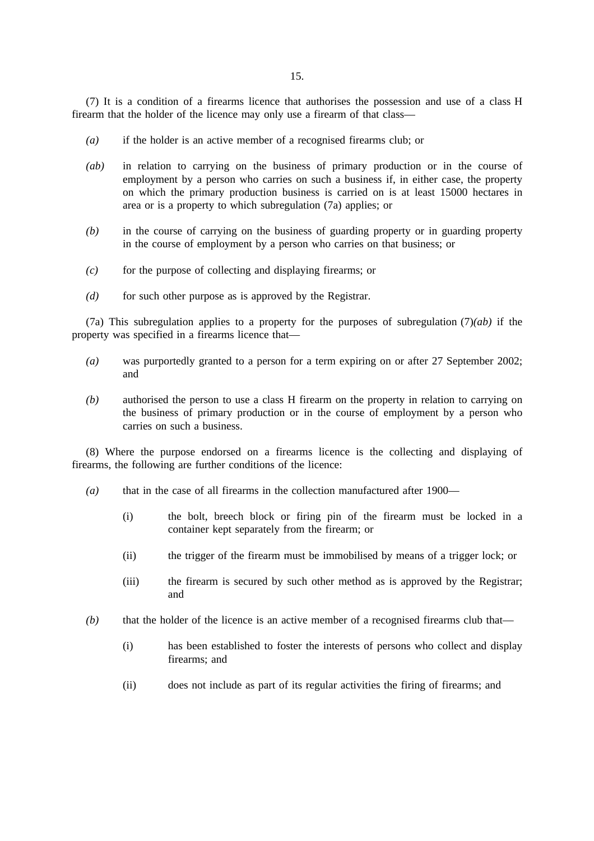(7) It is a condition of a firearms licence that authorises the possession and use of a class H firearm that the holder of the licence may only use a firearm of that class—

- *(a)* if the holder is an active member of a recognised firearms club; or
- *(ab)* in relation to carrying on the business of primary production or in the course of employment by a person who carries on such a business if, in either case, the property on which the primary production business is carried on is at least 15000 hectares in area or is a property to which subregulation (7a) applies; or
- *(b)* in the course of carrying on the business of guarding property or in guarding property in the course of employment by a person who carries on that business; or
- *(c)* for the purpose of collecting and displaying firearms; or
- *(d)* for such other purpose as is approved by the Registrar.

(7a) This subregulation applies to a property for the purposes of subregulation (7)*(ab)* if the property was specified in a firearms licence that—

- *(a)* was purportedly granted to a person for a term expiring on or after 27 September 2002; and
- *(b)* authorised the person to use a class H firearm on the property in relation to carrying on the business of primary production or in the course of employment by a person who carries on such a business.

(8) Where the purpose endorsed on a firearms licence is the collecting and displaying of firearms, the following are further conditions of the licence:

- *(a)* that in the case of all firearms in the collection manufactured after 1900—
	- (i) the bolt, breech block or firing pin of the firearm must be locked in a container kept separately from the firearm; or
	- (ii) the trigger of the firearm must be immobilised by means of a trigger lock; or
	- (iii) the firearm is secured by such other method as is approved by the Registrar; and
- *(b)* that the holder of the licence is an active member of a recognised firearms club that—
	- (i) has been established to foster the interests of persons who collect and display firearms; and
	- (ii) does not include as part of its regular activities the firing of firearms; and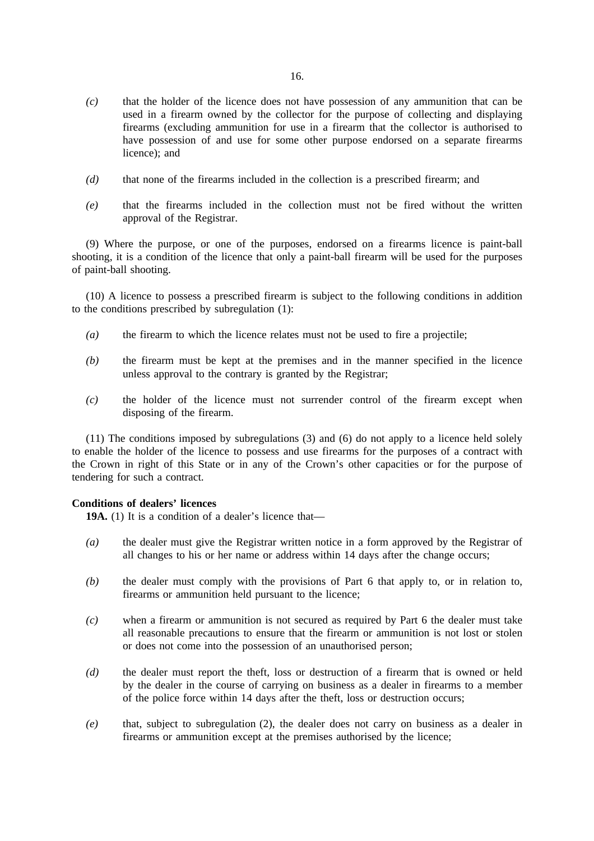- *(c)* that the holder of the licence does not have possession of any ammunition that can be used in a firearm owned by the collector for the purpose of collecting and displaying firearms (excluding ammunition for use in a firearm that the collector is authorised to have possession of and use for some other purpose endorsed on a separate firearms licence); and
- *(d)* that none of the firearms included in the collection is a prescribed firearm; and
- *(e)* that the firearms included in the collection must not be fired without the written approval of the Registrar.

(9) Where the purpose, or one of the purposes, endorsed on a firearms licence is paint-ball shooting, it is a condition of the licence that only a paint-ball firearm will be used for the purposes of paint-ball shooting.

(10) A licence to possess a prescribed firearm is subject to the following conditions in addition to the conditions prescribed by subregulation (1):

- *(a)* the firearm to which the licence relates must not be used to fire a projectile;
- *(b)* the firearm must be kept at the premises and in the manner specified in the licence unless approval to the contrary is granted by the Registrar;
- *(c)* the holder of the licence must not surrender control of the firearm except when disposing of the firearm.

(11) The conditions imposed by subregulations (3) and (6) do not apply to a licence held solely to enable the holder of the licence to possess and use firearms for the purposes of a contract with the Crown in right of this State or in any of the Crown's other capacities or for the purpose of tendering for such a contract.

### **Conditions of dealers' licences**

**19A.** (1) It is a condition of a dealer's licence that—

- *(a)* the dealer must give the Registrar written notice in a form approved by the Registrar of all changes to his or her name or address within 14 days after the change occurs;
- *(b)* the dealer must comply with the provisions of Part 6 that apply to, or in relation to, firearms or ammunition held pursuant to the licence;
- *(c)* when a firearm or ammunition is not secured as required by Part 6 the dealer must take all reasonable precautions to ensure that the firearm or ammunition is not lost or stolen or does not come into the possession of an unauthorised person;
- *(d)* the dealer must report the theft, loss or destruction of a firearm that is owned or held by the dealer in the course of carrying on business as a dealer in firearms to a member of the police force within 14 days after the theft, loss or destruction occurs;
- *(e)* that, subject to subregulation (2), the dealer does not carry on business as a dealer in firearms or ammunition except at the premises authorised by the licence;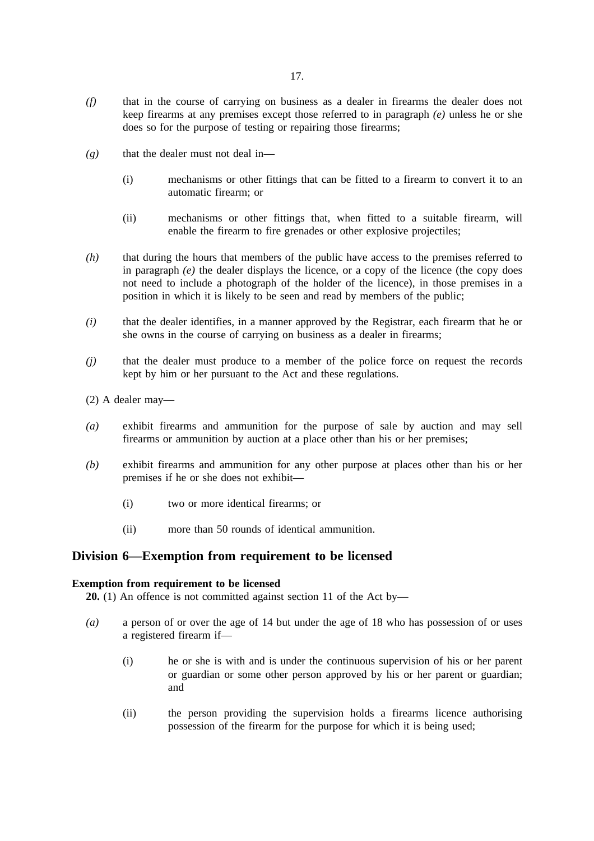- *(f)* that in the course of carrying on business as a dealer in firearms the dealer does not keep firearms at any premises except those referred to in paragraph *(e)* unless he or she does so for the purpose of testing or repairing those firearms;
- *(g)* that the dealer must not deal in—
	- (i) mechanisms or other fittings that can be fitted to a firearm to convert it to an automatic firearm; or
	- (ii) mechanisms or other fittings that, when fitted to a suitable firearm, will enable the firearm to fire grenades or other explosive projectiles;
- *(h)* that during the hours that members of the public have access to the premises referred to in paragraph  $(e)$  the dealer displays the licence, or a copy of the licence (the copy does not need to include a photograph of the holder of the licence), in those premises in a position in which it is likely to be seen and read by members of the public;
- *(i)* that the dealer identifies, in a manner approved by the Registrar, each firearm that he or she owns in the course of carrying on business as a dealer in firearms;
- *(j)* that the dealer must produce to a member of the police force on request the records kept by him or her pursuant to the Act and these regulations.
- (2) A dealer may—
- *(a)* exhibit firearms and ammunition for the purpose of sale by auction and may sell firearms or ammunition by auction at a place other than his or her premises;
- *(b)* exhibit firearms and ammunition for any other purpose at places other than his or her premises if he or she does not exhibit—
	- (i) two or more identical firearms; or
	- (ii) more than 50 rounds of identical ammunition.

### **Division 6—Exemption from requirement to be licensed**

### **Exemption from requirement to be licensed**

**20.** (1) An offence is not committed against section 11 of the Act by—

- *(a)* a person of or over the age of 14 but under the age of 18 who has possession of or uses a registered firearm if—
	- (i) he or she is with and is under the continuous supervision of his or her parent or guardian or some other person approved by his or her parent or guardian; and
	- (ii) the person providing the supervision holds a firearms licence authorising possession of the firearm for the purpose for which it is being used;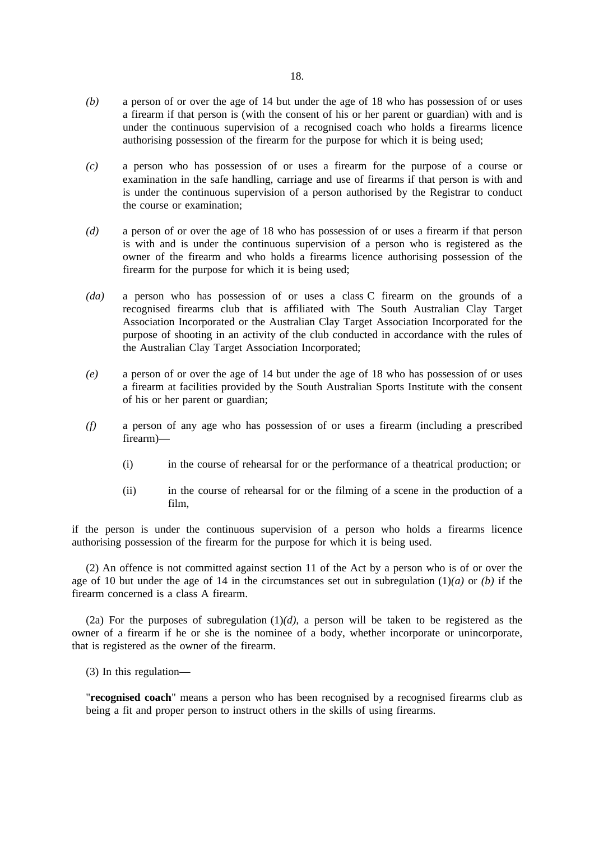- *(b)* a person of or over the age of 14 but under the age of 18 who has possession of or uses a firearm if that person is (with the consent of his or her parent or guardian) with and is under the continuous supervision of a recognised coach who holds a firearms licence authorising possession of the firearm for the purpose for which it is being used;
- *(c)* a person who has possession of or uses a firearm for the purpose of a course or examination in the safe handling, carriage and use of firearms if that person is with and is under the continuous supervision of a person authorised by the Registrar to conduct the course or examination;
- *(d)* a person of or over the age of 18 who has possession of or uses a firearm if that person is with and is under the continuous supervision of a person who is registered as the owner of the firearm and who holds a firearms licence authorising possession of the firearm for the purpose for which it is being used;
- *(da)* a person who has possession of or uses a class C firearm on the grounds of a recognised firearms club that is affiliated with The South Australian Clay Target Association Incorporated or the Australian Clay Target Association Incorporated for the purpose of shooting in an activity of the club conducted in accordance with the rules of the Australian Clay Target Association Incorporated;
- *(e)* a person of or over the age of 14 but under the age of 18 who has possession of or uses a firearm at facilities provided by the South Australian Sports Institute with the consent of his or her parent or guardian;
- *(f)* a person of any age who has possession of or uses a firearm (including a prescribed firearm)—
	- (i) in the course of rehearsal for or the performance of a theatrical production; or
	- (ii) in the course of rehearsal for or the filming of a scene in the production of a film,

if the person is under the continuous supervision of a person who holds a firearms licence authorising possession of the firearm for the purpose for which it is being used.

(2) An offence is not committed against section 11 of the Act by a person who is of or over the age of 10 but under the age of 14 in the circumstances set out in subregulation (1)*(a)* or *(b)* if the firearm concerned is a class A firearm.

(2a) For the purposes of subregulation  $(1)(d)$ , a person will be taken to be registered as the owner of a firearm if he or she is the nominee of a body, whether incorporate or unincorporate, that is registered as the owner of the firearm.

(3) In this regulation—

"**recognised coach**" means a person who has been recognised by a recognised firearms club as being a fit and proper person to instruct others in the skills of using firearms.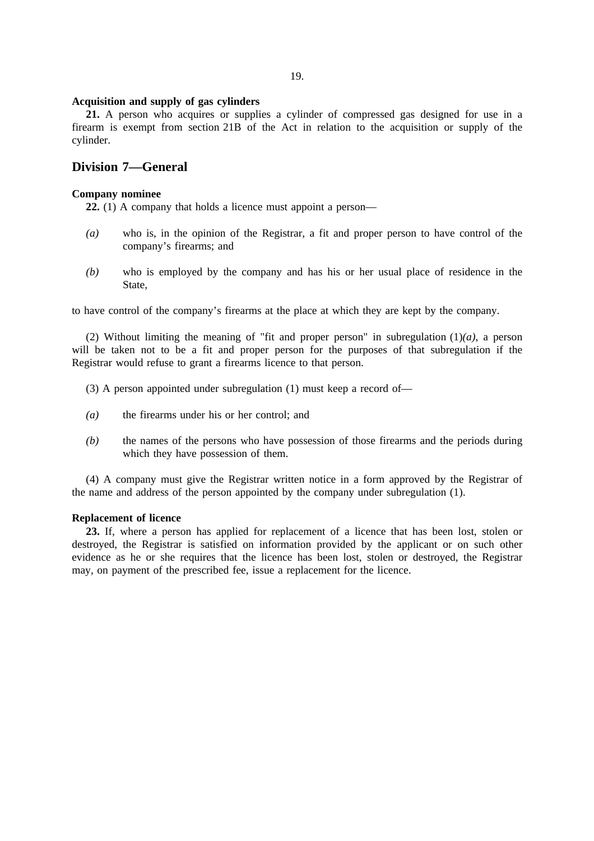#### **Acquisition and supply of gas cylinders**

**21.** A person who acquires or supplies a cylinder of compressed gas designed for use in a firearm is exempt from section 21B of the Act in relation to the acquisition or supply of the cylinder.

### **Division 7—General**

### **Company nominee**

**22.** (1) A company that holds a licence must appoint a person—

- *(a)* who is, in the opinion of the Registrar, a fit and proper person to have control of the company's firearms; and
- *(b)* who is employed by the company and has his or her usual place of residence in the State,

to have control of the company's firearms at the place at which they are kept by the company.

(2) Without limiting the meaning of "fit and proper person" in subregulation (1)*(a)*, a person will be taken not to be a fit and proper person for the purposes of that subregulation if the Registrar would refuse to grant a firearms licence to that person.

(3) A person appointed under subregulation (1) must keep a record of—

- *(a)* the firearms under his or her control; and
- *(b)* the names of the persons who have possession of those firearms and the periods during which they have possession of them.

(4) A company must give the Registrar written notice in a form approved by the Registrar of the name and address of the person appointed by the company under subregulation (1).

### **Replacement of licence**

**23.** If, where a person has applied for replacement of a licence that has been lost, stolen or destroyed, the Registrar is satisfied on information provided by the applicant or on such other evidence as he or she requires that the licence has been lost, stolen or destroyed, the Registrar may, on payment of the prescribed fee, issue a replacement for the licence.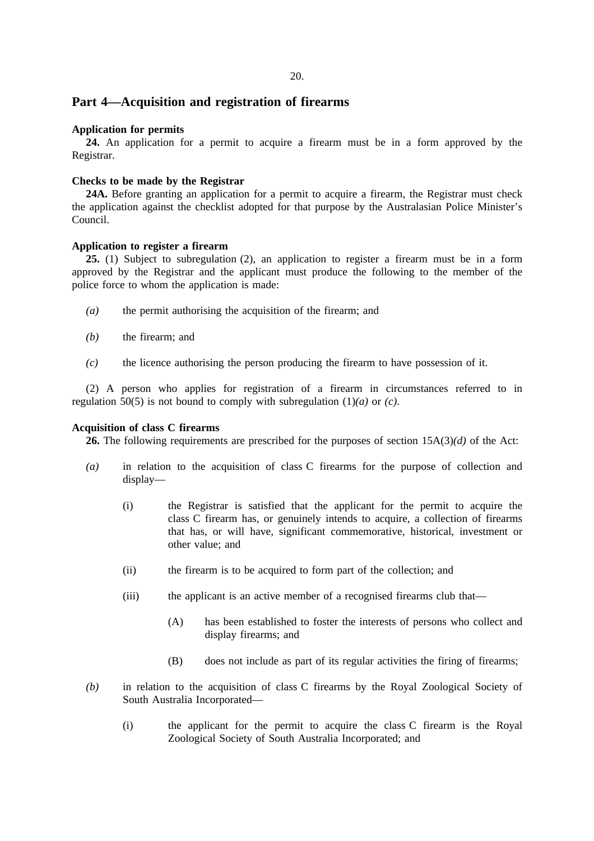### **Part 4—Acquisition and registration of firearms**

### **Application for permits**

**24.** An application for a permit to acquire a firearm must be in a form approved by the Registrar.

### **Checks to be made by the Registrar**

**24A.** Before granting an application for a permit to acquire a firearm, the Registrar must check the application against the checklist adopted for that purpose by the Australasian Police Minister's Council.

### **Application to register a firearm**

**25.** (1) Subject to subregulation (2), an application to register a firearm must be in a form approved by the Registrar and the applicant must produce the following to the member of the police force to whom the application is made:

- *(a)* the permit authorising the acquisition of the firearm; and
- *(b)* the firearm; and
- *(c)* the licence authorising the person producing the firearm to have possession of it.

(2) A person who applies for registration of a firearm in circumstances referred to in regulation 50(5) is not bound to comply with subregulation (1)*(a)* or *(c)*.

#### **Acquisition of class C firearms**

**26.** The following requirements are prescribed for the purposes of section 15A(3)*(d)* of the Act:

- *(a)* in relation to the acquisition of class C firearms for the purpose of collection and display—
	- (i) the Registrar is satisfied that the applicant for the permit to acquire the class C firearm has, or genuinely intends to acquire, a collection of firearms that has, or will have, significant commemorative, historical, investment or other value; and
	- (ii) the firearm is to be acquired to form part of the collection; and
	- (iii) the applicant is an active member of a recognised firearms club that—
		- (A) has been established to foster the interests of persons who collect and display firearms; and
		- (B) does not include as part of its regular activities the firing of firearms;
- *(b)* in relation to the acquisition of class C firearms by the Royal Zoological Society of South Australia Incorporated—
	- (i) the applicant for the permit to acquire the class C firearm is the Royal Zoological Society of South Australia Incorporated; and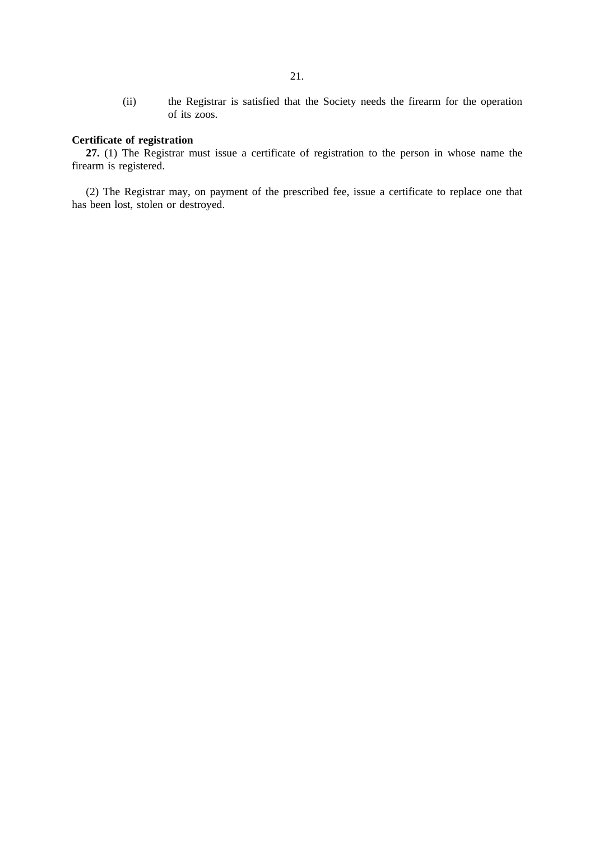(ii) the Registrar is satisfied that the Society needs the firearm for the operation of its zoos.

### **Certificate of registration**

**27.** (1) The Registrar must issue a certificate of registration to the person in whose name the firearm is registered.

(2) The Registrar may, on payment of the prescribed fee, issue a certificate to replace one that has been lost, stolen or destroyed.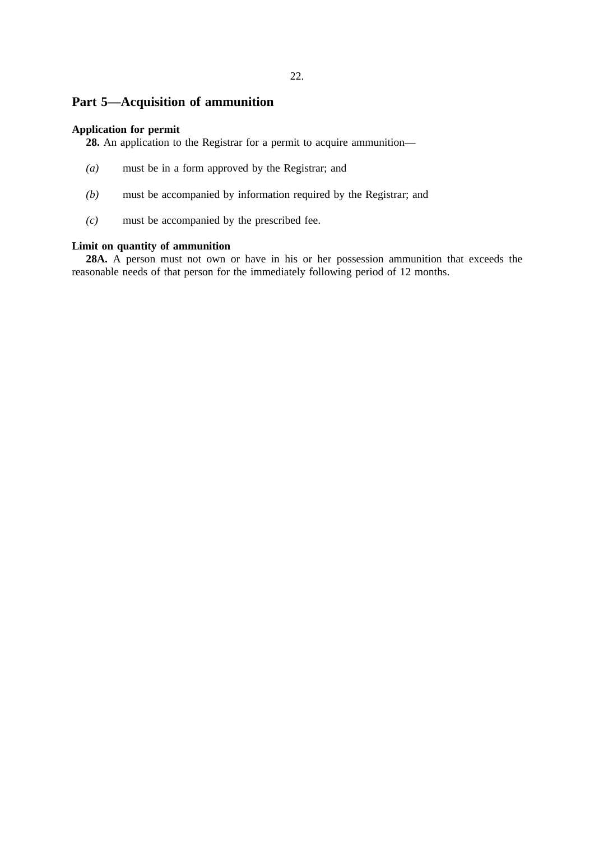## **Part 5—Acquisition of ammunition**

### **Application for permit**

**28.** An application to the Registrar for a permit to acquire ammunition—

- *(a)* must be in a form approved by the Registrar; and
- *(b)* must be accompanied by information required by the Registrar; and
- *(c)* must be accompanied by the prescribed fee.

### **Limit on quantity of ammunition**

**28A.** A person must not own or have in his or her possession ammunition that exceeds the reasonable needs of that person for the immediately following period of 12 months.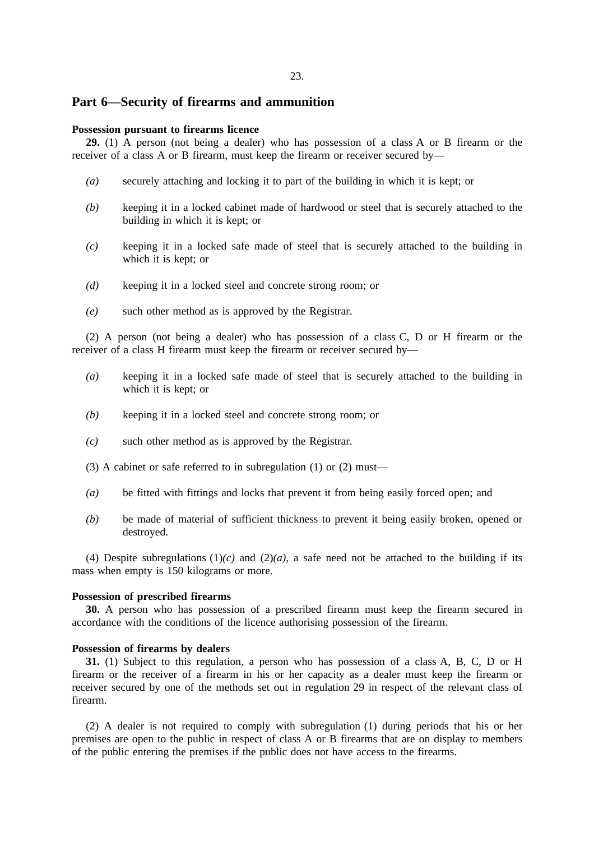### **Part 6—Security of firearms and ammunition**

### **Possession pursuant to firearms licence**

**29.** (1) A person (not being a dealer) who has possession of a class A or B firearm or the receiver of a class A or B firearm, must keep the firearm or receiver secured by—

- *(a)* securely attaching and locking it to part of the building in which it is kept; or
- *(b)* keeping it in a locked cabinet made of hardwood or steel that is securely attached to the building in which it is kept; or
- *(c)* keeping it in a locked safe made of steel that is securely attached to the building in which it is kept; or
- *(d)* keeping it in a locked steel and concrete strong room; or
- *(e)* such other method as is approved by the Registrar.

(2) A person (not being a dealer) who has possession of a class C, D or H firearm or the receiver of a class H firearm must keep the firearm or receiver secured by—

- *(a)* keeping it in a locked safe made of steel that is securely attached to the building in which it is kept; or
- *(b)* keeping it in a locked steel and concrete strong room; or
- *(c)* such other method as is approved by the Registrar.
- (3) A cabinet or safe referred to in subregulation (1) or (2) must—
- *(a)* be fitted with fittings and locks that prevent it from being easily forced open; and
- *(b)* be made of material of sufficient thickness to prevent it being easily broken, opened or destroyed.

(4) Despite subregulations  $(1)(c)$  and  $(2)(a)$ , a safe need not be attached to the building if its mass when empty is 150 kilograms or more.

#### **Possession of prescribed firearms**

**30.** A person who has possession of a prescribed firearm must keep the firearm secured in accordance with the conditions of the licence authorising possession of the firearm.

#### **Possession of firearms by dealers**

**31.** (1) Subject to this regulation, a person who has possession of a class A, B, C, D or H firearm or the receiver of a firearm in his or her capacity as a dealer must keep the firearm or receiver secured by one of the methods set out in regulation 29 in respect of the relevant class of firearm.

(2) A dealer is not required to comply with subregulation (1) during periods that his or her premises are open to the public in respect of class A or B firearms that are on display to members of the public entering the premises if the public does not have access to the firearms.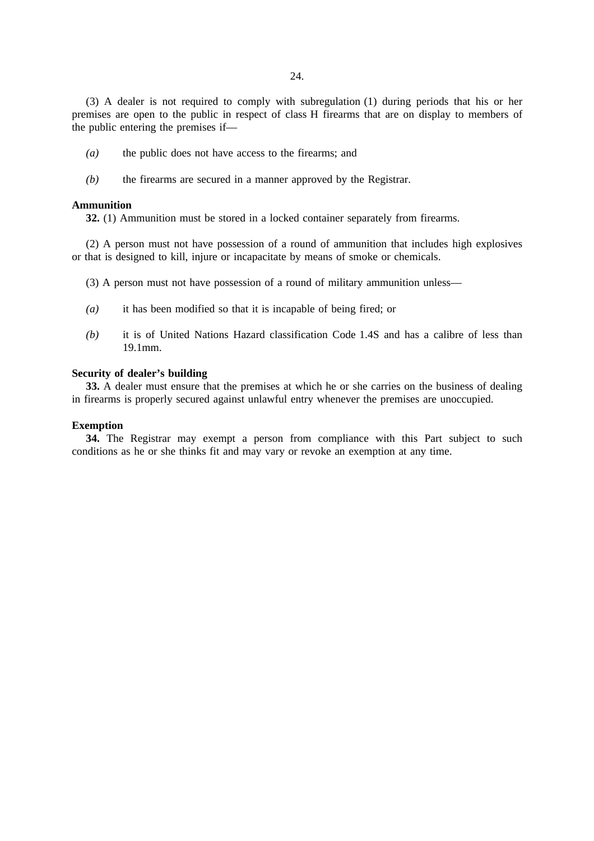(3) A dealer is not required to comply with subregulation (1) during periods that his or her premises are open to the public in respect of class H firearms that are on display to members of the public entering the premises if—

- *(a)* the public does not have access to the firearms; and
- *(b)* the firearms are secured in a manner approved by the Registrar.

### **Ammunition**

**32.** (1) Ammunition must be stored in a locked container separately from firearms.

(2) A person must not have possession of a round of ammunition that includes high explosives or that is designed to kill, injure or incapacitate by means of smoke or chemicals.

- (3) A person must not have possession of a round of military ammunition unless—
- *(a)* it has been modified so that it is incapable of being fired; or
- *(b)* it is of United Nations Hazard classification Code 1.4S and has a calibre of less than 19.1mm.

#### **Security of dealer's building**

**33.** A dealer must ensure that the premises at which he or she carries on the business of dealing in firearms is properly secured against unlawful entry whenever the premises are unoccupied.

#### **Exemption**

**34.** The Registrar may exempt a person from compliance with this Part subject to such conditions as he or she thinks fit and may vary or revoke an exemption at any time.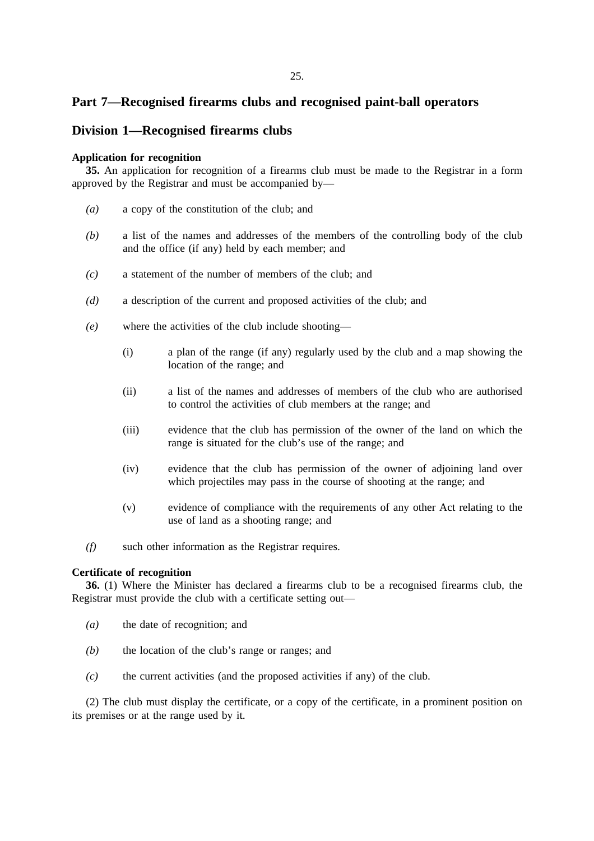### **Part 7—Recognised firearms clubs and recognised paint-ball operators**

### **Division 1—Recognised firearms clubs**

### **Application for recognition**

**35.** An application for recognition of a firearms club must be made to the Registrar in a form approved by the Registrar and must be accompanied by—

- *(a)* a copy of the constitution of the club; and
- *(b)* a list of the names and addresses of the members of the controlling body of the club and the office (if any) held by each member; and
- *(c)* a statement of the number of members of the club; and
- *(d)* a description of the current and proposed activities of the club; and
- *(e)* where the activities of the club include shooting—
	- (i) a plan of the range (if any) regularly used by the club and a map showing the location of the range; and
	- (ii) a list of the names and addresses of members of the club who are authorised to control the activities of club members at the range; and
	- (iii) evidence that the club has permission of the owner of the land on which the range is situated for the club's use of the range; and
	- (iv) evidence that the club has permission of the owner of adjoining land over which projectiles may pass in the course of shooting at the range; and
	- (v) evidence of compliance with the requirements of any other Act relating to the use of land as a shooting range; and
- *(f)* such other information as the Registrar requires.

#### **Certificate of recognition**

**36.** (1) Where the Minister has declared a firearms club to be a recognised firearms club, the Registrar must provide the club with a certificate setting out—

- *(a)* the date of recognition; and
- *(b)* the location of the club's range or ranges; and
- *(c)* the current activities (and the proposed activities if any) of the club.

(2) The club must display the certificate, or a copy of the certificate, in a prominent position on its premises or at the range used by it.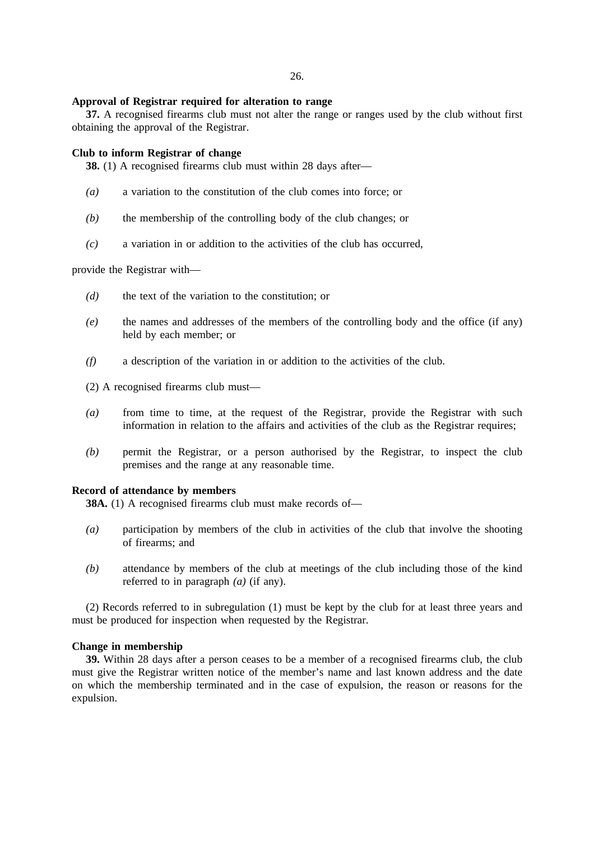#### **Approval of Registrar required for alteration to range**

**37.** A recognised firearms club must not alter the range or ranges used by the club without first obtaining the approval of the Registrar.

#### **Club to inform Registrar of change**

**38.** (1) A recognised firearms club must within 28 days after—

- *(a)* a variation to the constitution of the club comes into force; or
- *(b)* the membership of the controlling body of the club changes; or
- *(c)* a variation in or addition to the activities of the club has occurred,

provide the Registrar with—

- *(d)* the text of the variation to the constitution; or
- *(e)* the names and addresses of the members of the controlling body and the office (if any) held by each member; or
- *(f)* a description of the variation in or addition to the activities of the club.

(2) A recognised firearms club must—

- *(a)* from time to time, at the request of the Registrar, provide the Registrar with such information in relation to the affairs and activities of the club as the Registrar requires;
- *(b)* permit the Registrar, or a person authorised by the Registrar, to inspect the club premises and the range at any reasonable time.

#### **Record of attendance by members**

**38A.** (1) A recognised firearms club must make records of—

- *(a)* participation by members of the club in activities of the club that involve the shooting of firearms; and
- *(b)* attendance by members of the club at meetings of the club including those of the kind referred to in paragraph *(a)* (if any).

(2) Records referred to in subregulation (1) must be kept by the club for at least three years and must be produced for inspection when requested by the Registrar.

#### **Change in membership**

**39.** Within 28 days after a person ceases to be a member of a recognised firearms club, the club must give the Registrar written notice of the member's name and last known address and the date on which the membership terminated and in the case of expulsion, the reason or reasons for the expulsion.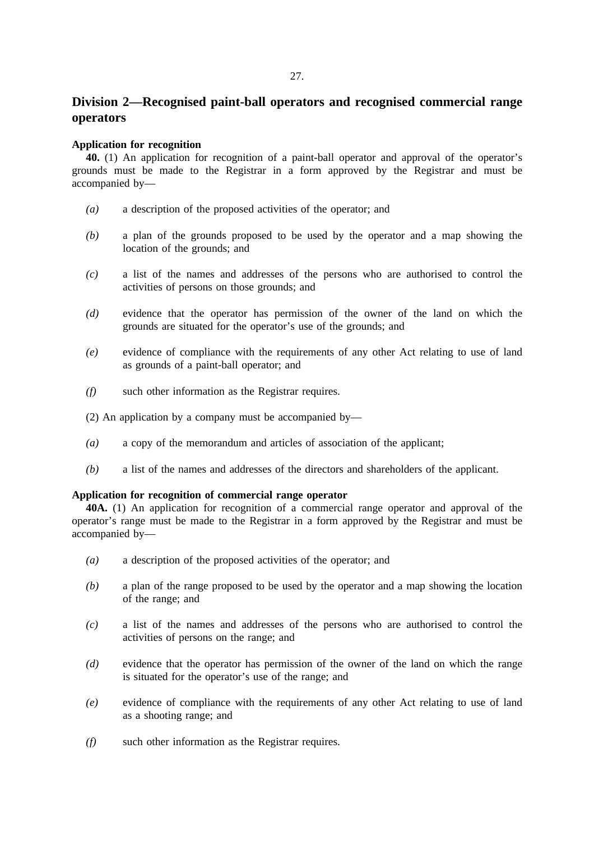## **Division 2—Recognised paint-ball operators and recognised commercial range operators**

### **Application for recognition**

**40.** (1) An application for recognition of a paint-ball operator and approval of the operator's grounds must be made to the Registrar in a form approved by the Registrar and must be accompanied by—

- *(a)* a description of the proposed activities of the operator; and
- *(b)* a plan of the grounds proposed to be used by the operator and a map showing the location of the grounds; and
- *(c)* a list of the names and addresses of the persons who are authorised to control the activities of persons on those grounds; and
- *(d)* evidence that the operator has permission of the owner of the land on which the grounds are situated for the operator's use of the grounds; and
- *(e)* evidence of compliance with the requirements of any other Act relating to use of land as grounds of a paint-ball operator; and
- *(f)* such other information as the Registrar requires.
- (2) An application by a company must be accompanied by—
- *(a)* a copy of the memorandum and articles of association of the applicant;
- *(b)* a list of the names and addresses of the directors and shareholders of the applicant.

### **Application for recognition of commercial range operator**

**40A.** (1) An application for recognition of a commercial range operator and approval of the operator's range must be made to the Registrar in a form approved by the Registrar and must be accompanied by—

- *(a)* a description of the proposed activities of the operator; and
- *(b)* a plan of the range proposed to be used by the operator and a map showing the location of the range; and
- *(c)* a list of the names and addresses of the persons who are authorised to control the activities of persons on the range; and
- *(d)* evidence that the operator has permission of the owner of the land on which the range is situated for the operator's use of the range; and
- *(e)* evidence of compliance with the requirements of any other Act relating to use of land as a shooting range; and
- *(f)* such other information as the Registrar requires.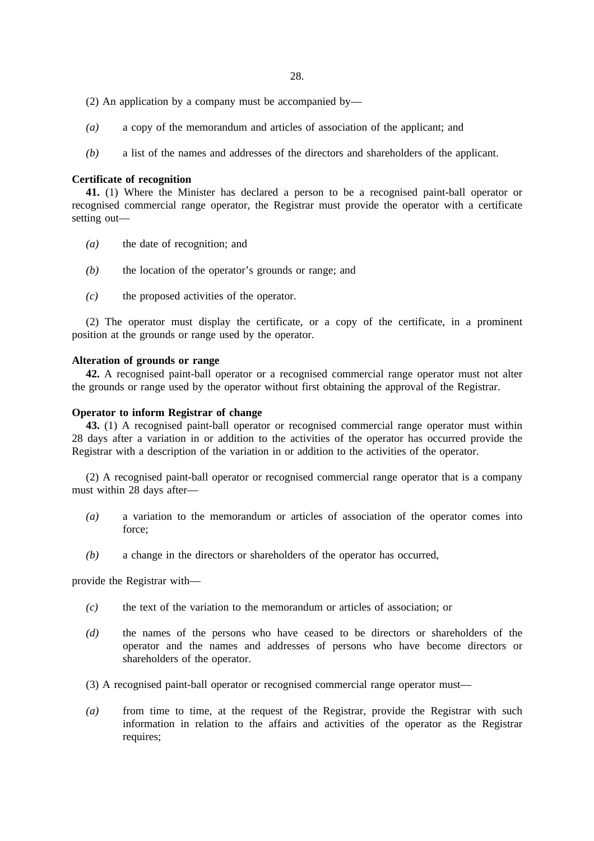28.

- (2) An application by a company must be accompanied by—
- *(a)* a copy of the memorandum and articles of association of the applicant; and
- *(b)* a list of the names and addresses of the directors and shareholders of the applicant.

#### **Certificate of recognition**

**41.** (1) Where the Minister has declared a person to be a recognised paint-ball operator or recognised commercial range operator, the Registrar must provide the operator with a certificate setting out—

- *(a)* the date of recognition; and
- *(b)* the location of the operator's grounds or range; and
- *(c)* the proposed activities of the operator.

(2) The operator must display the certificate, or a copy of the certificate, in a prominent position at the grounds or range used by the operator.

#### **Alteration of grounds or range**

**42.** A recognised paint-ball operator or a recognised commercial range operator must not alter the grounds or range used by the operator without first obtaining the approval of the Registrar.

### **Operator to inform Registrar of change**

**43.** (1) A recognised paint-ball operator or recognised commercial range operator must within 28 days after a variation in or addition to the activities of the operator has occurred provide the Registrar with a description of the variation in or addition to the activities of the operator.

(2) A recognised paint-ball operator or recognised commercial range operator that is a company must within 28 days after—

- *(a)* a variation to the memorandum or articles of association of the operator comes into force;
- *(b)* a change in the directors or shareholders of the operator has occurred,

provide the Registrar with—

- *(c)* the text of the variation to the memorandum or articles of association; or
- *(d)* the names of the persons who have ceased to be directors or shareholders of the operator and the names and addresses of persons who have become directors or shareholders of the operator.

(3) A recognised paint-ball operator or recognised commercial range operator must—

*(a)* from time to time, at the request of the Registrar, provide the Registrar with such information in relation to the affairs and activities of the operator as the Registrar requires;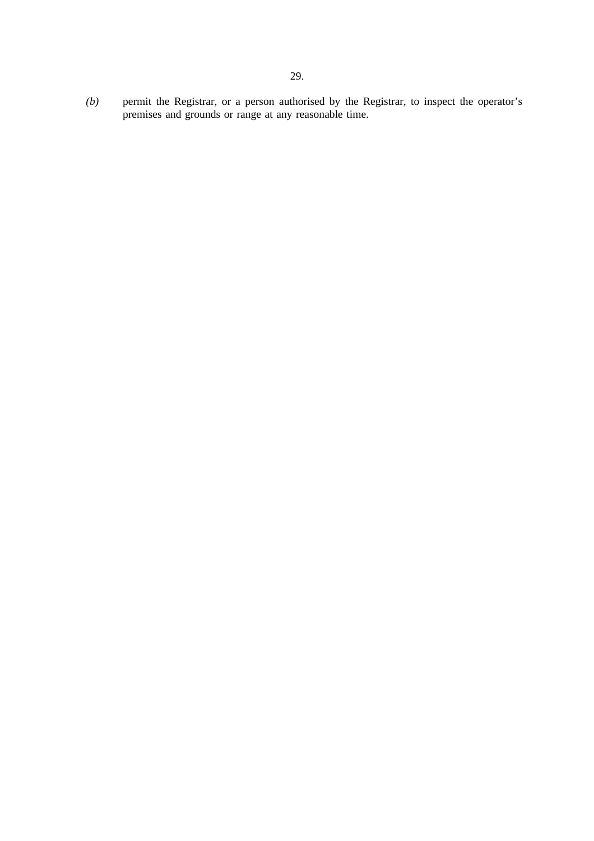*(b)* permit the Registrar, or a person authorised by the Registrar, to inspect the operator's premises and grounds or range at any reasonable time.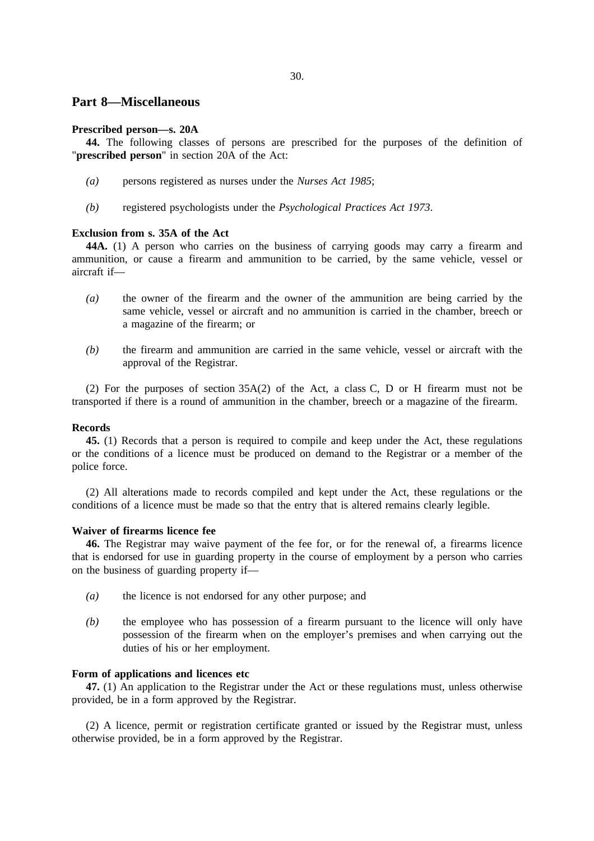### **Part 8—Miscellaneous**

### **Prescribed person—s. 20A**

**44.** The following classes of persons are prescribed for the purposes of the definition of "**prescribed person**" in section 20A of the Act:

- *(a)* persons registered as nurses under the *Nurses Act 1985*;
- *(b)* registered psychologists under the *Psychological Practices Act 1973*.

#### **Exclusion from s. 35A of the Act**

**44A.** (1) A person who carries on the business of carrying goods may carry a firearm and ammunition, or cause a firearm and ammunition to be carried, by the same vehicle, vessel or aircraft if—

- *(a)* the owner of the firearm and the owner of the ammunition are being carried by the same vehicle, vessel or aircraft and no ammunition is carried in the chamber, breech or a magazine of the firearm; or
- *(b)* the firearm and ammunition are carried in the same vehicle, vessel or aircraft with the approval of the Registrar.

(2) For the purposes of section 35A(2) of the Act, a class C, D or H firearm must not be transported if there is a round of ammunition in the chamber, breech or a magazine of the firearm.

#### **Records**

**45.** (1) Records that a person is required to compile and keep under the Act, these regulations or the conditions of a licence must be produced on demand to the Registrar or a member of the police force.

(2) All alterations made to records compiled and kept under the Act, these regulations or the conditions of a licence must be made so that the entry that is altered remains clearly legible.

### **Waiver of firearms licence fee**

**46.** The Registrar may waive payment of the fee for, or for the renewal of, a firearms licence that is endorsed for use in guarding property in the course of employment by a person who carries on the business of guarding property if—

- *(a)* the licence is not endorsed for any other purpose; and
- *(b)* the employee who has possession of a firearm pursuant to the licence will only have possession of the firearm when on the employer's premises and when carrying out the duties of his or her employment.

### **Form of applications and licences etc**

**47.** (1) An application to the Registrar under the Act or these regulations must, unless otherwise provided, be in a form approved by the Registrar.

(2) A licence, permit or registration certificate granted or issued by the Registrar must, unless otherwise provided, be in a form approved by the Registrar.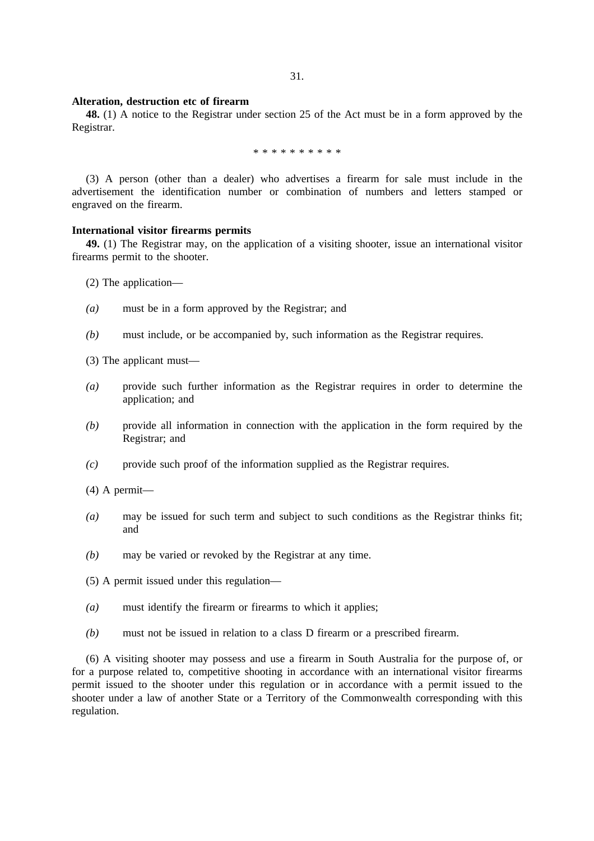#### **Alteration, destruction etc of firearm**

**48.** (1) A notice to the Registrar under section 25 of the Act must be in a form approved by the Registrar.

\*\*\*\*\*\*\*\*\*\*

(3) A person (other than a dealer) who advertises a firearm for sale must include in the advertisement the identification number or combination of numbers and letters stamped or engraved on the firearm.

#### **International visitor firearms permits**

**49.** (1) The Registrar may, on the application of a visiting shooter, issue an international visitor firearms permit to the shooter.

(2) The application—

- *(a)* must be in a form approved by the Registrar; and
- *(b)* must include, or be accompanied by, such information as the Registrar requires.

(3) The applicant must—

- *(a)* provide such further information as the Registrar requires in order to determine the application; and
- *(b)* provide all information in connection with the application in the form required by the Registrar; and
- *(c)* provide such proof of the information supplied as the Registrar requires.
- (4) A permit—
- *(a)* may be issued for such term and subject to such conditions as the Registrar thinks fit; and
- *(b)* may be varied or revoked by the Registrar at any time.
- (5) A permit issued under this regulation—
- *(a)* must identify the firearm or firearms to which it applies;
- *(b)* must not be issued in relation to a class D firearm or a prescribed firearm.

(6) A visiting shooter may possess and use a firearm in South Australia for the purpose of, or for a purpose related to, competitive shooting in accordance with an international visitor firearms permit issued to the shooter under this regulation or in accordance with a permit issued to the shooter under a law of another State or a Territory of the Commonwealth corresponding with this regulation.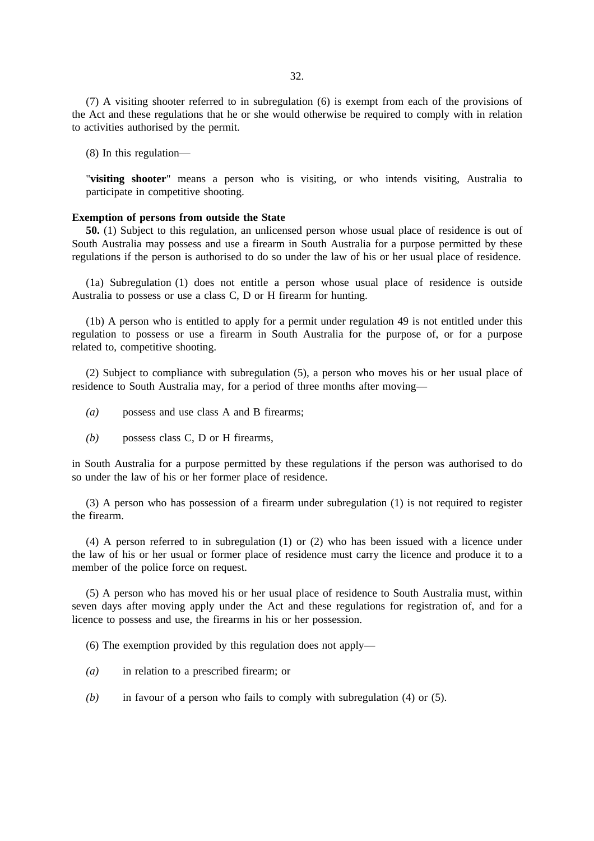(7) A visiting shooter referred to in subregulation (6) is exempt from each of the provisions of the Act and these regulations that he or she would otherwise be required to comply with in relation to activities authorised by the permit.

(8) In this regulation—

"**visiting shooter**" means a person who is visiting, or who intends visiting, Australia to participate in competitive shooting.

#### **Exemption of persons from outside the State**

**50.** (1) Subject to this regulation, an unlicensed person whose usual place of residence is out of South Australia may possess and use a firearm in South Australia for a purpose permitted by these regulations if the person is authorised to do so under the law of his or her usual place of residence.

(1a) Subregulation (1) does not entitle a person whose usual place of residence is outside Australia to possess or use a class C, D or H firearm for hunting.

(1b) A person who is entitled to apply for a permit under regulation 49 is not entitled under this regulation to possess or use a firearm in South Australia for the purpose of, or for a purpose related to, competitive shooting.

(2) Subject to compliance with subregulation (5), a person who moves his or her usual place of residence to South Australia may, for a period of three months after moving—

- *(a)* possess and use class A and B firearms;
- *(b)* possess class C, D or H firearms,

in South Australia for a purpose permitted by these regulations if the person was authorised to do so under the law of his or her former place of residence.

(3) A person who has possession of a firearm under subregulation (1) is not required to register the firearm.

(4) A person referred to in subregulation (1) or (2) who has been issued with a licence under the law of his or her usual or former place of residence must carry the licence and produce it to a member of the police force on request.

(5) A person who has moved his or her usual place of residence to South Australia must, within seven days after moving apply under the Act and these regulations for registration of, and for a licence to possess and use, the firearms in his or her possession.

(6) The exemption provided by this regulation does not apply—

- *(a)* in relation to a prescribed firearm; or
- *(b)* in favour of a person who fails to comply with subregulation (4) or (5).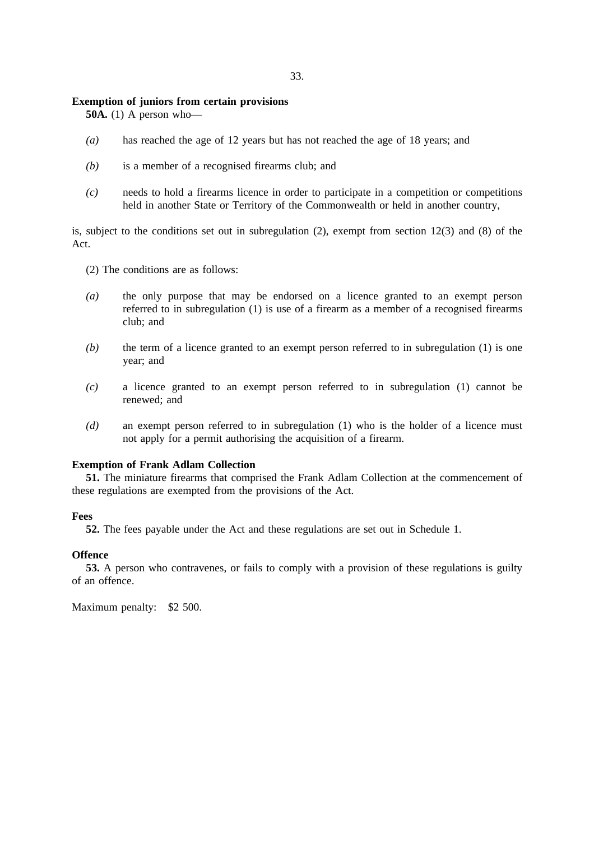### **Exemption of juniors from certain provisions**

**50A.** (1) A person who—

- *(a)* has reached the age of 12 years but has not reached the age of 18 years; and
- *(b)* is a member of a recognised firearms club; and
- *(c)* needs to hold a firearms licence in order to participate in a competition or competitions held in another State or Territory of the Commonwealth or held in another country,

is, subject to the conditions set out in subregulation (2), exempt from section 12(3) and (8) of the Act.

- (2) The conditions are as follows:
- *(a)* the only purpose that may be endorsed on a licence granted to an exempt person referred to in subregulation (1) is use of a firearm as a member of a recognised firearms club; and
- *(b)* the term of a licence granted to an exempt person referred to in subregulation (1) is one year; and
- *(c)* a licence granted to an exempt person referred to in subregulation (1) cannot be renewed; and
- *(d)* an exempt person referred to in subregulation (1) who is the holder of a licence must not apply for a permit authorising the acquisition of a firearm.

### **Exemption of Frank Adlam Collection**

**51.** The miniature firearms that comprised the Frank Adlam Collection at the commencement of these regulations are exempted from the provisions of the Act.

#### **Fees**

**52.** The fees payable under the Act and these regulations are set out in Schedule 1.

#### **Offence**

**53.** A person who contravenes, or fails to comply with a provision of these regulations is guilty of an offence.

Maximum penalty: \$2 500.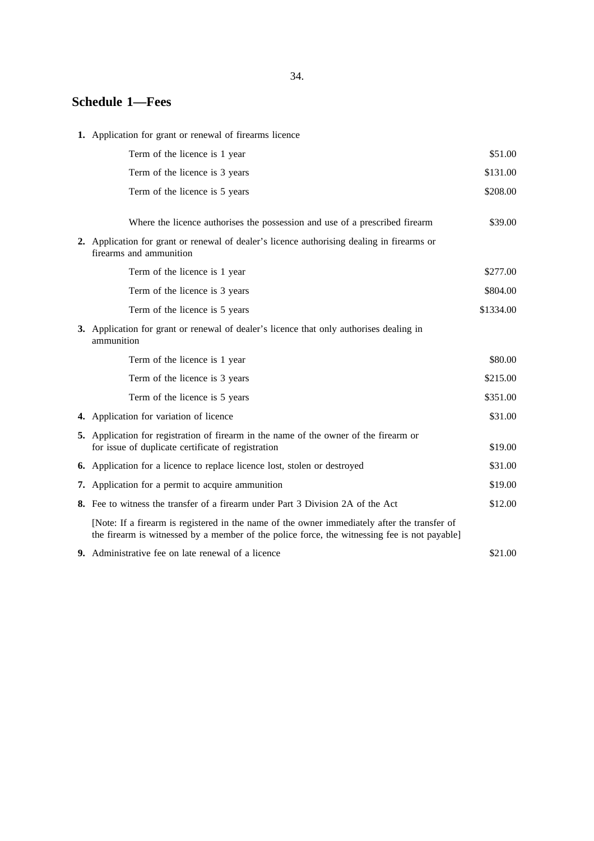### 34.

# **Schedule 1—Fees**

**1.** Application for grant or renewal of firearms licence

| Term of the licence is 1 year                                                                                                                                                                | \$51.00                                                                                                                                                                                                                                                             |
|----------------------------------------------------------------------------------------------------------------------------------------------------------------------------------------------|---------------------------------------------------------------------------------------------------------------------------------------------------------------------------------------------------------------------------------------------------------------------|
| Term of the licence is 3 years                                                                                                                                                               | \$131.00                                                                                                                                                                                                                                                            |
| Term of the licence is 5 years                                                                                                                                                               | \$208.00                                                                                                                                                                                                                                                            |
|                                                                                                                                                                                              |                                                                                                                                                                                                                                                                     |
|                                                                                                                                                                                              | \$39.00                                                                                                                                                                                                                                                             |
| 2. Application for grant or renewal of dealer's licence authorising dealing in firearms or<br>firearms and ammunition                                                                        |                                                                                                                                                                                                                                                                     |
| Term of the licence is 1 year                                                                                                                                                                | \$277.00                                                                                                                                                                                                                                                            |
| Term of the licence is 3 years                                                                                                                                                               | \$804.00                                                                                                                                                                                                                                                            |
| Term of the licence is 5 years                                                                                                                                                               | \$1334.00                                                                                                                                                                                                                                                           |
| <b>3.</b> Application for grant or renewal of dealer's licence that only authorises dealing in<br>ammunition                                                                                 |                                                                                                                                                                                                                                                                     |
| Term of the licence is 1 year                                                                                                                                                                | \$80.00                                                                                                                                                                                                                                                             |
| Term of the licence is 3 years                                                                                                                                                               | \$215.00                                                                                                                                                                                                                                                            |
| Term of the licence is 5 years                                                                                                                                                               | \$351.00                                                                                                                                                                                                                                                            |
| 4. Application for variation of licence                                                                                                                                                      | \$31.00                                                                                                                                                                                                                                                             |
| 5. Application for registration of firearm in the name of the owner of the firearm or                                                                                                        | \$19.00                                                                                                                                                                                                                                                             |
|                                                                                                                                                                                              | \$31.00                                                                                                                                                                                                                                                             |
|                                                                                                                                                                                              | \$19.00                                                                                                                                                                                                                                                             |
| 8. Fee to witness the transfer of a firearm under Part 3 Division 2A of the Act                                                                                                              | \$12.00                                                                                                                                                                                                                                                             |
| [Note: If a firearm is registered in the name of the owner immediately after the transfer of<br>the firearm is witnessed by a member of the police force, the witnessing fee is not payable] |                                                                                                                                                                                                                                                                     |
| 9. Administrative fee on late renewal of a licence                                                                                                                                           | \$21.00                                                                                                                                                                                                                                                             |
|                                                                                                                                                                                              | Where the licence authorises the possession and use of a prescribed firearm<br>for issue of duplicate certificate of registration<br>6. Application for a licence to replace licence lost, stolen or destroyed<br>7. Application for a permit to acquire ammunition |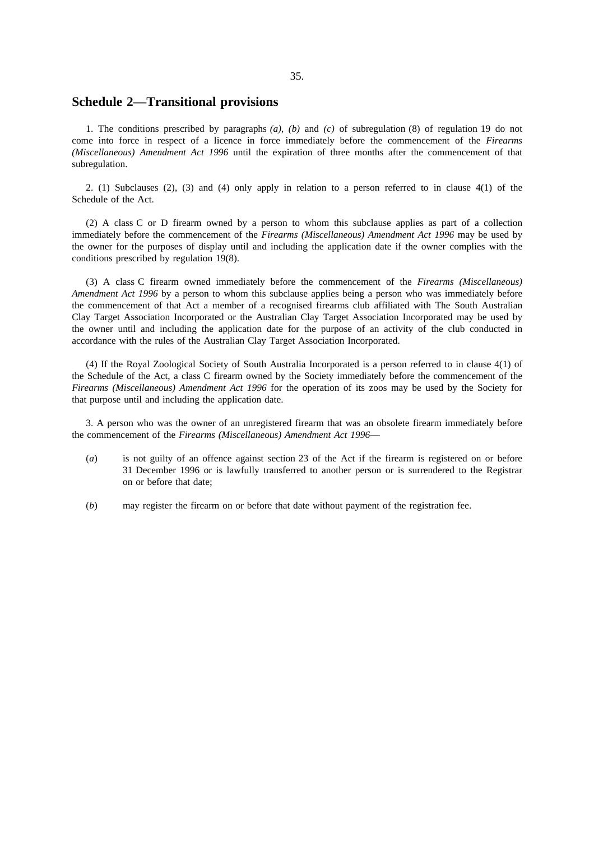### **Schedule 2—Transitional provisions**

1. The conditions prescribed by paragraphs *(a)*, *(b)* and *(c)* of subregulation (8) of regulation 19 do not come into force in respect of a licence in force immediately before the commencement of the *Firearms (Miscellaneous) Amendment Act 1996* until the expiration of three months after the commencement of that subregulation.

2. (1) Subclauses (2), (3) and (4) only apply in relation to a person referred to in clause 4(1) of the Schedule of the Act.

(2) A class C or D firearm owned by a person to whom this subclause applies as part of a collection immediately before the commencement of the *Firearms (Miscellaneous) Amendment Act 1996* may be used by the owner for the purposes of display until and including the application date if the owner complies with the conditions prescribed by regulation 19(8).

(3) A class C firearm owned immediately before the commencement of the *Firearms (Miscellaneous) Amendment Act 1996* by a person to whom this subclause applies being a person who was immediately before the commencement of that Act a member of a recognised firearms club affiliated with The South Australian Clay Target Association Incorporated or the Australian Clay Target Association Incorporated may be used by the owner until and including the application date for the purpose of an activity of the club conducted in accordance with the rules of the Australian Clay Target Association Incorporated.

(4) If the Royal Zoological Society of South Australia Incorporated is a person referred to in clause 4(1) of the Schedule of the Act, a class C firearm owned by the Society immediately before the commencement of the *Firearms (Miscellaneous) Amendment Act 1996* for the operation of its zoos may be used by the Society for that purpose until and including the application date.

3. A person who was the owner of an unregistered firearm that was an obsolete firearm immediately before the commencement of the *Firearms (Miscellaneous) Amendment Act 1996*—

- (*a*) is not guilty of an offence against section 23 of the Act if the firearm is registered on or before 31 December 1996 or is lawfully transferred to another person or is surrendered to the Registrar on or before that date;
- (*b*) may register the firearm on or before that date without payment of the registration fee.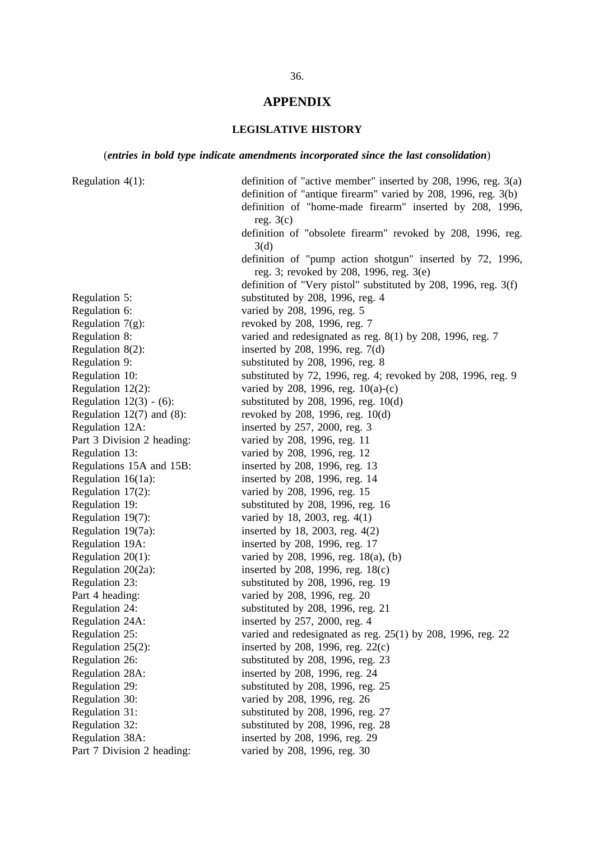## **APPENDIX**

# **LEGISLATIVE HISTORY**

## (*entries in bold type indicate amendments incorporated since the last consolidation*)

| Regulation $4(1)$ :            | definition of "active member" inserted by 208, 1996, reg. 3(a)  |
|--------------------------------|-----------------------------------------------------------------|
|                                | definition of "antique firearm" varied by 208, 1996, reg. 3(b)  |
|                                | definition of "home-made firearm" inserted by 208, 1996,        |
|                                | reg. $3(c)$                                                     |
|                                | definition of "obsolete firearm" revoked by 208, 1996, reg.     |
|                                | 3(d)                                                            |
|                                | definition of "pump action shotgun" inserted by 72, 1996,       |
|                                | reg. 3; revoked by 208, 1996, reg. 3(e)                         |
|                                | definition of "Very pistol" substituted by 208, 1996, reg. 3(f) |
| Regulation 5:                  | substituted by 208, 1996, reg. 4                                |
| Regulation 6:                  | varied by 208, 1996, reg. 5                                     |
| Regulation $7(g)$ :            | revoked by 208, 1996, reg. 7                                    |
| Regulation 8:                  | varied and redesignated as reg. $8(1)$ by 208, 1996, reg. 7     |
| Regulation $8(2)$ :            | inserted by 208, 1996, reg. $7(d)$                              |
| Regulation 9:                  | substituted by 208, 1996, reg. 8                                |
| Regulation 10:                 | substituted by 72, 1996, reg. 4; revoked by 208, 1996, reg. 9   |
| Regulation $12(2)$ :           | varied by 208, 1996, reg. 10(a)-(c)                             |
| Regulation $12(3) - (6)$ :     | substituted by 208, 1996, reg. $10(d)$                          |
| Regulation $12(7)$ and $(8)$ : | revoked by 208, 1996, reg. 10(d)                                |
| Regulation 12A:                | inserted by 257, 2000, reg. 3                                   |
| Part 3 Division 2 heading:     | varied by 208, 1996, reg. 11                                    |
| Regulation 13:                 | varied by 208, 1996, reg. 12                                    |
| Regulations 15A and 15B:       | inserted by 208, 1996, reg. 13                                  |
| Regulation 16(1a):             | inserted by 208, 1996, reg. 14                                  |
| Regulation 17(2):              | varied by 208, 1996, reg. 15                                    |
| Regulation 19:                 | substituted by 208, 1996, reg. 16                               |
| Regulation 19(7):              | varied by 18, 2003, reg. 4(1)                                   |
| Regulation 19(7a):             | inserted by 18, 2003, reg. $4(2)$                               |
| Regulation 19A:                | inserted by 208, 1996, reg. 17                                  |
| Regulation $20(1)$ :           | varied by 208, 1996, reg. 18(a), (b)                            |
| Regulation 20(2a):             | inserted by 208, 1996, reg. 18(c)                               |
| Regulation 23:                 | substituted by 208, 1996, reg. 19                               |
| Part 4 heading:                | varied by 208, 1996, reg. 20                                    |
| Regulation 24:                 | substituted by 208, 1996, reg. 21                               |
| Regulation 24A:                | inserted by 257, 2000, reg. 4                                   |
| Regulation 25:                 | varied and redesignated as reg. $25(1)$ by 208, 1996, reg. 22   |
| Regulation $25(2)$ :           | inserted by 208, 1996, reg. $22(c)$                             |
| Regulation 26:                 | substituted by 208, 1996, reg. 23                               |
| Regulation 28A:                | inserted by 208, 1996, reg. 24                                  |
| Regulation 29:                 | substituted by 208, 1996, reg. 25                               |
| Regulation 30:                 | varied by 208, 1996, reg. 26                                    |
| Regulation 31:                 | substituted by 208, 1996, reg. 27                               |
| Regulation 32:                 | substituted by 208, 1996, reg. 28                               |
| Regulation 38A:                | inserted by 208, 1996, reg. 29                                  |
| Part 7 Division 2 heading:     | varied by 208, 1996, reg. 30                                    |